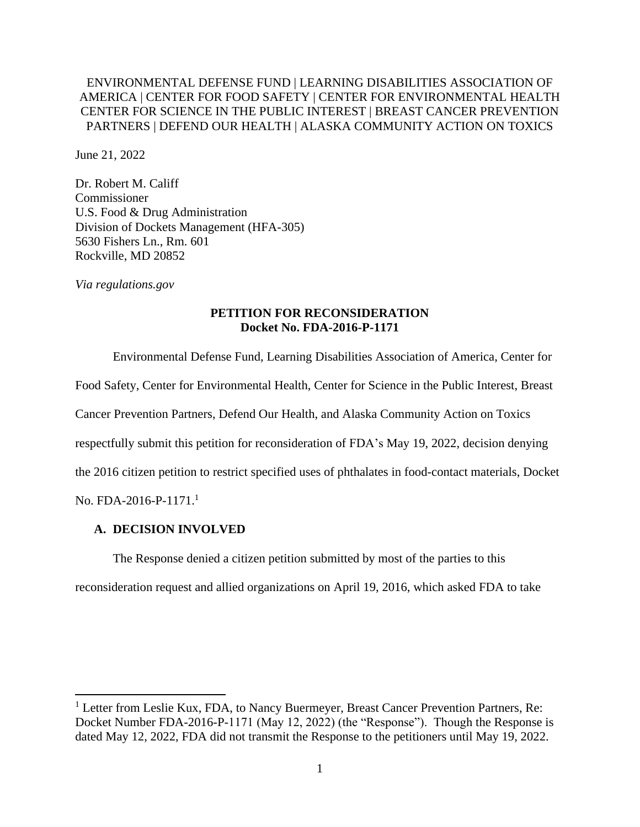## ENVIRONMENTAL DEFENSE FUND | LEARNING DISABILITIES ASSOCIATION OF AMERICA | CENTER FOR FOOD SAFETY | CENTER FOR ENVIRONMENTAL HEALTH CENTER FOR SCIENCE IN THE PUBLIC INTEREST | BREAST CANCER PREVENTION PARTNERS | DEFEND OUR HEALTH | ALASKA COMMUNITY ACTION ON TOXICS

June 21, 2022

Dr. Robert M. Califf **Commissioner** U.S. Food & Drug Administration Division of Dockets Management (HFA-305) 5630 Fishers Ln., Rm. 601 Rockville, MD 20852

*Via regulations.gov*

## **PETITION FOR RECONSIDERATION Docket No. FDA-2016-P-1171**

Environmental Defense Fund, Learning Disabilities Association of America, Center for Food Safety, Center for Environmental Health, Center for Science in the Public Interest, Breast Cancer Prevention Partners, Defend Our Health, and Alaska Community Action on Toxics respectfully submit this petition for reconsideration of FDA's May 19, 2022, decision denying the 2016 citizen petition to restrict specified uses of phthalates in food-contact materials, Docket No. FDA-2016-P-1171.<sup>1</sup>

#### **A. DECISION INVOLVED**

The Response denied a citizen petition submitted by most of the parties to this

reconsideration request and allied organizations on April 19, 2016, which asked FDA to take

<sup>&</sup>lt;sup>1</sup> Letter from Leslie Kux, FDA, to Nancy Buermeyer, Breast Cancer Prevention Partners, Re: Docket Number FDA-2016-P-1171 (May 12, 2022) (the "Response"). Though the Response is dated May 12, 2022, FDA did not transmit the Response to the petitioners until May 19, 2022.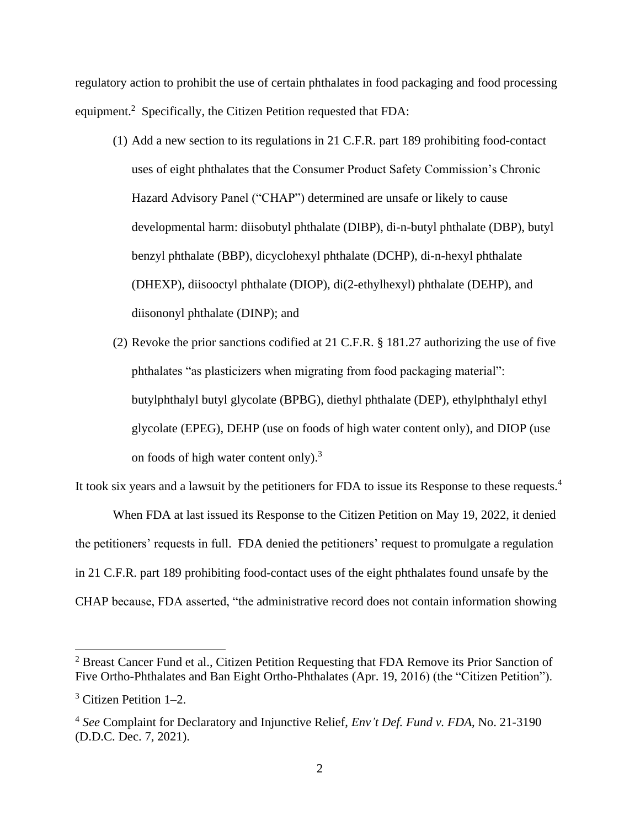regulatory action to prohibit the use of certain phthalates in food packaging and food processing equipment.<sup>2</sup> Specifically, the Citizen Petition requested that FDA:

- (1) Add a new section to its regulations in 21 C.F.R. part 189 prohibiting food-contact uses of eight phthalates that the Consumer Product Safety Commission's Chronic Hazard Advisory Panel ("CHAP") determined are unsafe or likely to cause developmental harm: diisobutyl phthalate (DIBP), di-n-butyl phthalate (DBP), butyl benzyl phthalate (BBP), dicyclohexyl phthalate (DCHP), di-n-hexyl phthalate (DHEXP), diisooctyl phthalate (DIOP), di(2-ethylhexyl) phthalate (DEHP), and diisononyl phthalate (DINP); and
- (2) Revoke the prior sanctions codified at 21 C.F.R. § 181.27 authorizing the use of five phthalates "as plasticizers when migrating from food packaging material": butylphthalyl butyl glycolate (BPBG), diethyl phthalate (DEP), ethylphthalyl ethyl glycolate (EPEG), DEHP (use on foods of high water content only), and DIOP (use on foods of high water content only).<sup>3</sup>

It took six years and a lawsuit by the petitioners for FDA to issue its Response to these requests.<sup>4</sup> When FDA at last issued its Response to the Citizen Petition on May 19, 2022, it denied the petitioners' requests in full. FDA denied the petitioners' request to promulgate a regulation

in 21 C.F.R. part 189 prohibiting food-contact uses of the eight phthalates found unsafe by the

CHAP because, FDA asserted, "the administrative record does not contain information showing

<sup>&</sup>lt;sup>2</sup> Breast Cancer Fund et al., Citizen Petition Requesting that FDA Remove its Prior Sanction of Five Ortho-Phthalates and Ban Eight Ortho-Phthalates (Apr. 19, 2016) (the "Citizen Petition").

<sup>3</sup> Citizen Petition 1–2.

<sup>4</sup> *See* Complaint for Declaratory and Injunctive Relief, *Env't Def. Fund v. FDA*, No. 21-3190 (D.D.C. Dec. 7, 2021).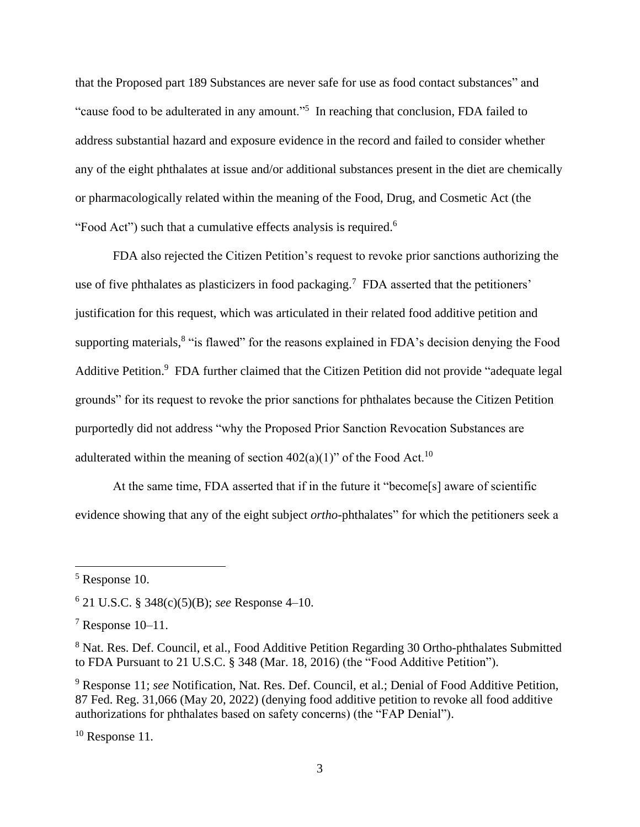that the Proposed part 189 Substances are never safe for use as food contact substances" and "cause food to be adulterated in any amount."<sup>5</sup> In reaching that conclusion, FDA failed to address substantial hazard and exposure evidence in the record and failed to consider whether any of the eight phthalates at issue and/or additional substances present in the diet are chemically or pharmacologically related within the meaning of the Food, Drug, and Cosmetic Act (the "Food Act") such that a cumulative effects analysis is required.<sup>6</sup>

FDA also rejected the Citizen Petition's request to revoke prior sanctions authorizing the use of five phthalates as plasticizers in food packaging.<sup>7</sup> FDA asserted that the petitioners' justification for this request, which was articulated in their related food additive petition and supporting materials,<sup>8</sup> "is flawed" for the reasons explained in FDA's decision denying the Food Additive Petition.<sup>9</sup> FDA further claimed that the Citizen Petition did not provide "adequate legal grounds" for its request to revoke the prior sanctions for phthalates because the Citizen Petition purportedly did not address "why the Proposed Prior Sanction Revocation Substances are adulterated within the meaning of section  $402(a)(1)$ " of the Food Act.<sup>10</sup>

At the same time, FDA asserted that if in the future it "become[s] aware of scientific evidence showing that any of the eight subject *ortho-*phthalates" for which the petitioners seek a

<sup>10</sup> Response 11*.*

<sup>5</sup> Response 10.

<sup>6</sup> 21 U.S.C. § 348(c)(5)(B); *see* Response 4–10.

 $7$  Response 10–11.

<sup>&</sup>lt;sup>8</sup> Nat. Res. Def. Council, et al., Food Additive Petition Regarding 30 Ortho-phthalates Submitted to FDA Pursuant to 21 U.S.C. § 348 (Mar. 18, 2016) (the "Food Additive Petition").

<sup>9</sup> Response 11; *see* Notification, Nat. Res. Def. Council, et al.; Denial of Food Additive Petition, 87 Fed. Reg. 31,066 (May 20, 2022) (denying food additive petition to revoke all food additive authorizations for phthalates based on safety concerns) (the "FAP Denial").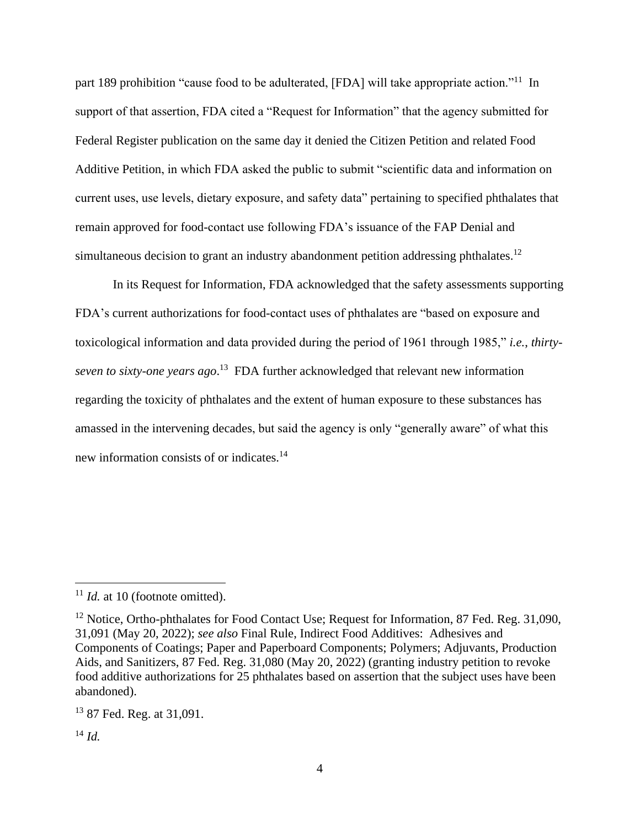part 189 prohibition "cause food to be adulterated, [FDA] will take appropriate action."<sup>11</sup> In support of that assertion, FDA cited a "Request for Information" that the agency submitted for Federal Register publication on the same day it denied the Citizen Petition and related Food Additive Petition, in which FDA asked the public to submit "scientific data and information on current uses, use levels, dietary exposure, and safety data" pertaining to specified phthalates that remain approved for food-contact use following FDA's issuance of the FAP Denial and simultaneous decision to grant an industry abandonment petition addressing phthalates.<sup>12</sup>

In its Request for Information, FDA acknowledged that the safety assessments supporting FDA's current authorizations for food-contact uses of phthalates are "based on exposure and toxicological information and data provided during the period of 1961 through 1985," *i.e.*, *thirtyseven to sixty-one years ago*. <sup>13</sup> FDA further acknowledged that relevant new information regarding the toxicity of phthalates and the extent of human exposure to these substances has amassed in the intervening decades, but said the agency is only "generally aware" of what this new information consists of or indicates.<sup>14</sup>

<sup>&</sup>lt;sup>11</sup> *Id.* at 10 (footnote omitted).

<sup>&</sup>lt;sup>12</sup> Notice, Ortho-phthalates for Food Contact Use; Request for Information, 87 Fed. Reg. 31,090, 31,091 (May 20, 2022); *see also* Final Rule, Indirect Food Additives: Adhesives and Components of Coatings; Paper and Paperboard Components; Polymers; Adjuvants, Production Aids, and Sanitizers, 87 Fed. Reg. 31,080 (May 20, 2022) (granting industry petition to revoke food additive authorizations for 25 phthalates based on assertion that the subject uses have been abandoned).

<sup>13</sup> 87 Fed. Reg. at 31,091.

<sup>14</sup> *Id.*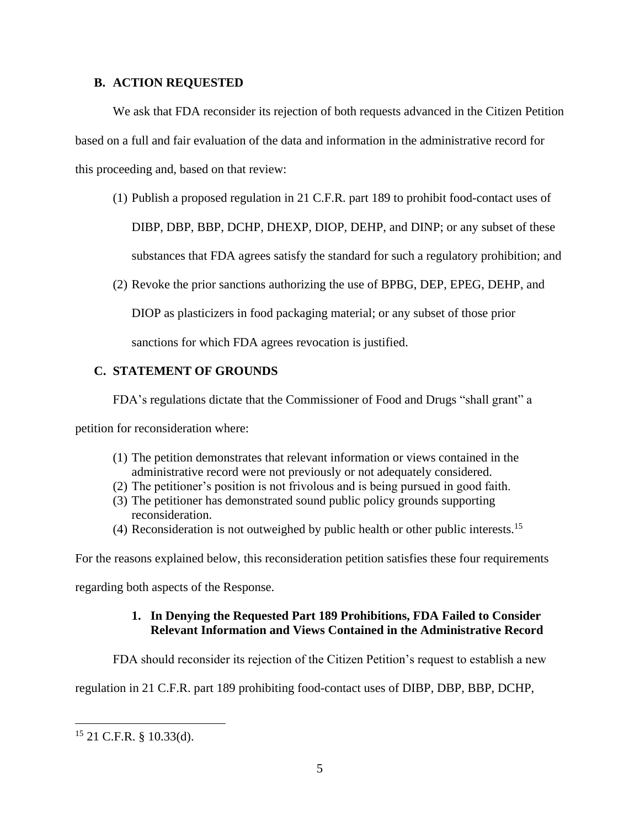### **B. ACTION REQUESTED**

We ask that FDA reconsider its rejection of both requests advanced in the Citizen Petition based on a full and fair evaluation of the data and information in the administrative record for this proceeding and, based on that review:

(1) Publish a proposed regulation in 21 C.F.R. part 189 to prohibit food-contact uses of

DIBP, DBP, BBP, DCHP, DHEXP, DIOP, DEHP, and DINP; or any subset of these

substances that FDA agrees satisfy the standard for such a regulatory prohibition; and

(2) Revoke the prior sanctions authorizing the use of BPBG, DEP, EPEG, DEHP, and

DIOP as plasticizers in food packaging material; or any subset of those prior

sanctions for which FDA agrees revocation is justified.

# **C. STATEMENT OF GROUNDS**

FDA's regulations dictate that the Commissioner of Food and Drugs "shall grant" a

petition for reconsideration where:

- (1) The petition demonstrates that relevant information or views contained in the administrative record were not previously or not adequately considered.
- (2) The petitioner's position is not frivolous and is being pursued in good faith.
- (3) The petitioner has demonstrated sound public policy grounds supporting reconsideration.
- (4) Reconsideration is not outweighed by public health or other public interests.<sup>15</sup>

For the reasons explained below, this reconsideration petition satisfies these four requirements

regarding both aspects of the Response.

# **1. In Denying the Requested Part 189 Prohibitions, FDA Failed to Consider Relevant Information and Views Contained in the Administrative Record**

FDA should reconsider its rejection of the Citizen Petition's request to establish a new

regulation in 21 C.F.R. part 189 prohibiting food-contact uses of DIBP, DBP, BBP, DCHP,

 $15$  21 C.F.R. § 10.33(d).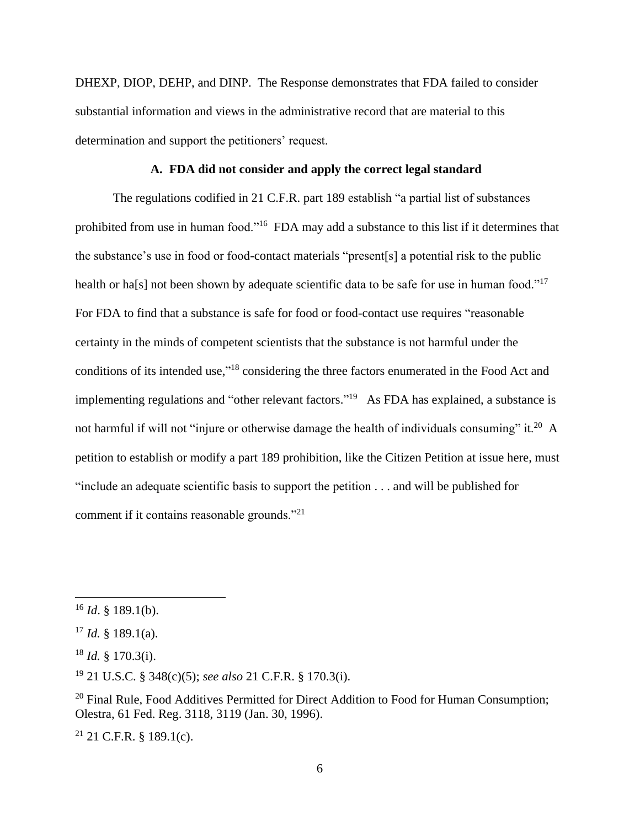DHEXP, DIOP, DEHP, and DINP. The Response demonstrates that FDA failed to consider substantial information and views in the administrative record that are material to this determination and support the petitioners' request.

#### **A. FDA did not consider and apply the correct legal standard**

The regulations codified in 21 C.F.R. part 189 establish "a partial list of substances prohibited from use in human food."<sup>16</sup> FDA may add a substance to this list if it determines that the substance's use in food or food-contact materials "present[s] a potential risk to the public health or ha[s] not been shown by adequate scientific data to be safe for use in human food."<sup>17</sup> For FDA to find that a substance is safe for food or food-contact use requires "reasonable certainty in the minds of competent scientists that the substance is not harmful under the conditions of its intended use,"<sup>18</sup> considering the three factors enumerated in the Food Act and implementing regulations and "other relevant factors."<sup>19</sup> As FDA has explained, a substance is not harmful if will not "injure or otherwise damage the health of individuals consuming" it.<sup>20</sup> A petition to establish or modify a part 189 prohibition, like the Citizen Petition at issue here, must "include an adequate scientific basis to support the petition . . . and will be published for comment if it contains reasonable grounds."<sup>21</sup>

 $21$  21 C.F.R. § 189.1(c).

 $^{16}$  *Id.* § 189.1(b).

 $17$  *Id.* § 189.1(a).

 $18$  *Id.* § 170.3(i).

<sup>19</sup> 21 U.S.C. § 348(c)(5); *see also* 21 C.F.R. § 170.3(i).

 $20$  Final Rule, Food Additives Permitted for Direct Addition to Food for Human Consumption; Olestra, 61 Fed. Reg. 3118, 3119 (Jan. 30, 1996).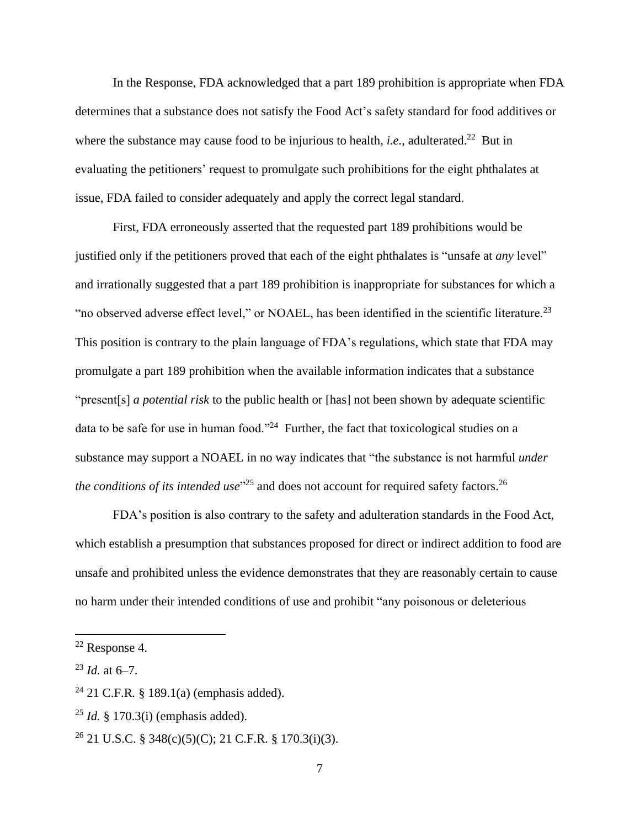In the Response, FDA acknowledged that a part 189 prohibition is appropriate when FDA determines that a substance does not satisfy the Food Act's safety standard for food additives or where the substance may cause food to be injurious to health, *i.e.*, adulterated.<sup>22</sup> But in evaluating the petitioners' request to promulgate such prohibitions for the eight phthalates at issue, FDA failed to consider adequately and apply the correct legal standard.

First, FDA erroneously asserted that the requested part 189 prohibitions would be justified only if the petitioners proved that each of the eight phthalates is "unsafe at *any* level" and irrationally suggested that a part 189 prohibition is inappropriate for substances for which a "no observed adverse effect level," or NOAEL, has been identified in the scientific literature.<sup>23</sup> This position is contrary to the plain language of FDA's regulations, which state that FDA may promulgate a part 189 prohibition when the available information indicates that a substance "present[s] *a potential risk* to the public health or [has] not been shown by adequate scientific data to be safe for use in human food."<sup>24</sup> Further, the fact that toxicological studies on a substance may support a NOAEL in no way indicates that "the substance is not harmful *under*  the conditions of its intended use<sup>"25</sup> and does not account for required safety factors.<sup>26</sup>

FDA's position is also contrary to the safety and adulteration standards in the Food Act, which establish a presumption that substances proposed for direct or indirect addition to food are unsafe and prohibited unless the evidence demonstrates that they are reasonably certain to cause no harm under their intended conditions of use and prohibit "any poisonous or deleterious

<sup>22</sup> Response 4.

 $^{23}$  *Id.* at 6–7.

<sup>24</sup> 21 C.F.R*.* § 189.1(a) (emphasis added).

<sup>25</sup> *Id.* § 170.3(i) (emphasis added).

<sup>&</sup>lt;sup>26</sup> 21 U.S.C. § 348(c)(5)(C); 21 C.F.R. § 170.3(i)(3).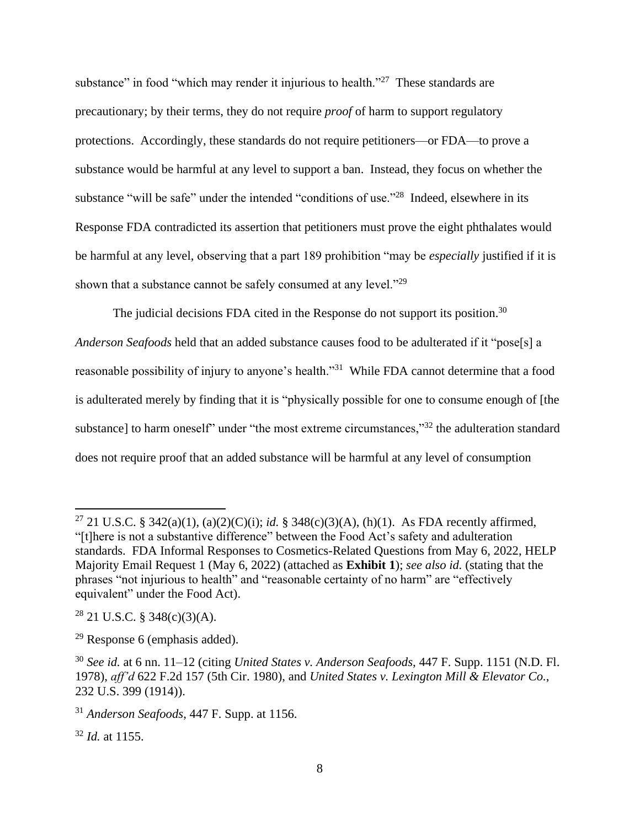substance" in food "which may render it injurious to health."<sup>27</sup> These standards are precautionary; by their terms, they do not require *proof* of harm to support regulatory protections. Accordingly, these standards do not require petitioners—or FDA—to prove a substance would be harmful at any level to support a ban. Instead, they focus on whether the substance "will be safe" under the intended "conditions of use."<sup>28</sup> Indeed, elsewhere in its Response FDA contradicted its assertion that petitioners must prove the eight phthalates would be harmful at any level, observing that a part 189 prohibition "may be *especially* justified if it is shown that a substance cannot be safely consumed at any level." $^{29}$ 

The judicial decisions FDA cited in the Response do not support its position.<sup>30</sup>

*Anderson Seafoods* held that an added substance causes food to be adulterated if it "pose[s] a reasonable possibility of injury to anyone's health."<sup>31</sup> While FDA cannot determine that a food is adulterated merely by finding that it is "physically possible for one to consume enough of [the substance] to harm oneself" under "the most extreme circumstances,"<sup>32</sup> the adulteration standard does not require proof that an added substance will be harmful at any level of consumption

<sup>27</sup> 21 U.S.C. § 342(a)(1), (a)(2)(C)(i); *id.* § 348(c)(3)(A), (h)(1). As FDA recently affirmed, "[t]here is not a substantive difference" between the Food Act's safety and adulteration standards. FDA Informal Responses to Cosmetics-Related Questions from May 6, 2022, HELP Majority Email Request 1 (May 6, 2022) (attached as **Exhibit 1**); *see also id.* (stating that the phrases "not injurious to health" and "reasonable certainty of no harm" are "effectively equivalent" under the Food Act).

 $28$  21 U.S.C. § 348(c)(3)(A).

 $29$  Response 6 (emphasis added).

<sup>30</sup> *See id.* at 6 nn. 11–12 (citing *United States v. Anderson Seafoods*, 447 F. Supp. 1151 (N.D. Fl. 1978), *aff'd* 622 F.2d 157 (5th Cir. 1980), and *United States v. Lexington Mill & Elevator Co.*, 232 U.S. 399 (1914)).

<sup>31</sup> *Anderson Seafoods*, 447 F. Supp. at 1156.

<sup>32</sup> *Id.* at 1155.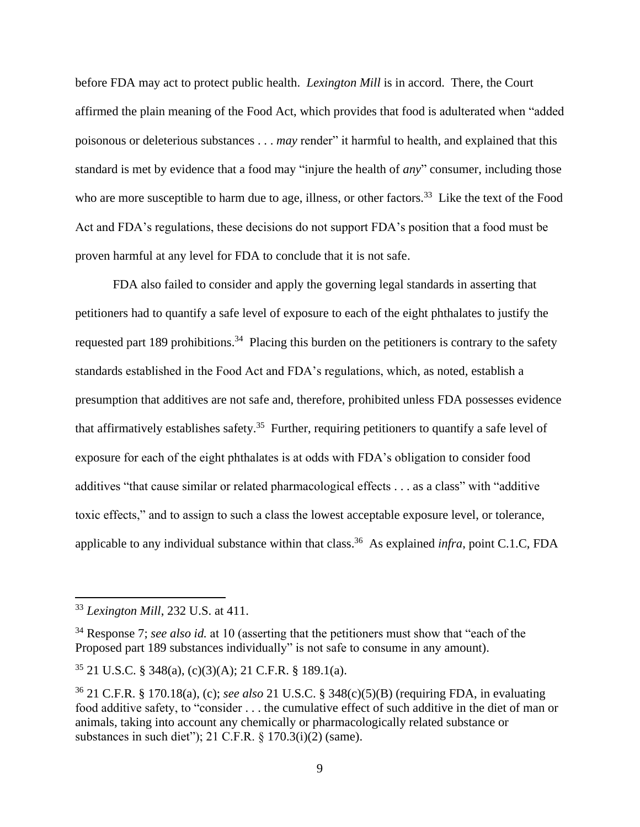before FDA may act to protect public health. *Lexington Mill* is in accord. There, the Court affirmed the plain meaning of the Food Act, which provides that food is adulterated when "added poisonous or deleterious substances . . . *may* render" it harmful to health, and explained that this standard is met by evidence that a food may "injure the health of *any*" consumer, including those who are more susceptible to harm due to age, illness, or other factors.<sup>33</sup> Like the text of the Food Act and FDA's regulations, these decisions do not support FDA's position that a food must be proven harmful at any level for FDA to conclude that it is not safe.

FDA also failed to consider and apply the governing legal standards in asserting that petitioners had to quantify a safe level of exposure to each of the eight phthalates to justify the requested part 189 prohibitions.<sup>34</sup> Placing this burden on the petitioners is contrary to the safety standards established in the Food Act and FDA's regulations, which, as noted, establish a presumption that additives are not safe and, therefore, prohibited unless FDA possesses evidence that affirmatively establishes safety.<sup>35</sup> Further, requiring petitioners to quantify a safe level of exposure for each of the eight phthalates is at odds with FDA's obligation to consider food additives "that cause similar or related pharmacological effects . . . as a class" with "additive toxic effects," and to assign to such a class the lowest acceptable exposure level, or tolerance, applicable to any individual substance within that class. 36 As explained *infra*, point C.1.C, FDA

<sup>33</sup> *Lexington Mill*, 232 U.S. at 411.

<sup>&</sup>lt;sup>34</sup> Response 7; *see also id.* at 10 (asserting that the petitioners must show that "each of the Proposed part 189 substances individually" is not safe to consume in any amount).

<sup>35</sup> 21 U.S.C. § 348(a), (c)(3)(A); 21 C.F.R. § 189.1(a).

<sup>36</sup> 21 C.F.R. § 170.18(a), (c); *see also* 21 U.S.C. § 348(c)(5)(B) (requiring FDA, in evaluating food additive safety, to "consider . . . the cumulative effect of such additive in the diet of man or animals, taking into account any chemically or pharmacologically related substance or substances in such diet"); 21 C.F.R. § 170.3(i)(2) (same).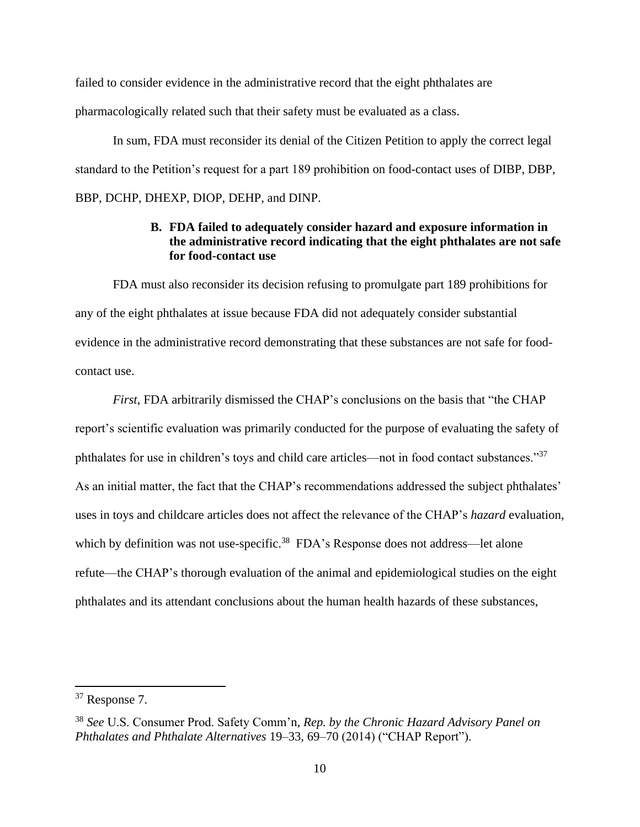failed to consider evidence in the administrative record that the eight phthalates are pharmacologically related such that their safety must be evaluated as a class.

In sum, FDA must reconsider its denial of the Citizen Petition to apply the correct legal standard to the Petition's request for a part 189 prohibition on food-contact uses of DIBP, DBP, BBP, DCHP, DHEXP, DIOP, DEHP, and DINP.

## **B. FDA failed to adequately consider hazard and exposure information in the administrative record indicating that the eight phthalates are not safe for food-contact use**

FDA must also reconsider its decision refusing to promulgate part 189 prohibitions for any of the eight phthalates at issue because FDA did not adequately consider substantial evidence in the administrative record demonstrating that these substances are not safe for foodcontact use.

*First*, FDA arbitrarily dismissed the CHAP's conclusions on the basis that "the CHAP report's scientific evaluation was primarily conducted for the purpose of evaluating the safety of phthalates for use in children's toys and child care articles—not in food contact substances."<sup>37</sup> As an initial matter, the fact that the CHAP's recommendations addressed the subject phthalates' uses in toys and childcare articles does not affect the relevance of the CHAP's *hazard* evaluation, which by definition was not use-specific.<sup>38</sup> FDA's Response does not address—let alone refute—the CHAP's thorough evaluation of the animal and epidemiological studies on the eight phthalates and its attendant conclusions about the human health hazards of these substances,

<sup>37</sup> Response 7.

<sup>38</sup> *See* U.S. Consumer Prod. Safety Comm'n, *Rep. by the Chronic Hazard Advisory Panel on Phthalates and Phthalate Alternatives* 19–33, 69–70 (2014) ("CHAP Report").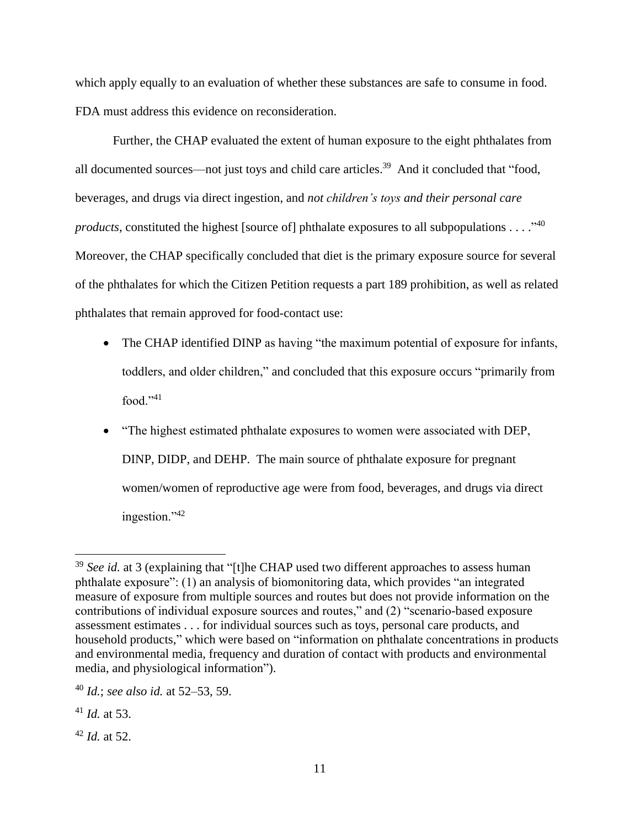which apply equally to an evaluation of whether these substances are safe to consume in food. FDA must address this evidence on reconsideration.

Further, the CHAP evaluated the extent of human exposure to the eight phthalates from all documented sources—not just toys and child care articles.<sup>39</sup> And it concluded that "food, beverages, and drugs via direct ingestion, and *not children's toys and their personal care products*, constituted the highest [source of] phthalate exposures to all subpopulations . . . .<sup>140</sup> Moreover, the CHAP specifically concluded that diet is the primary exposure source for several of the phthalates for which the Citizen Petition requests a part 189 prohibition, as well as related phthalates that remain approved for food-contact use:

- The CHAP identified DINP as having "the maximum potential of exposure for infants, toddlers, and older children," and concluded that this exposure occurs "primarily from food." $41$
- "The highest estimated phthalate exposures to women were associated with DEP, DINP, DIDP, and DEHP. The main source of phthalate exposure for pregnant women/women of reproductive age were from food, beverages, and drugs via direct ingestion."<sup>42</sup>

<sup>42</sup> *Id.* at 52.

<sup>&</sup>lt;sup>39</sup> *See id.* at 3 (explaining that "[t]he CHAP used two different approaches to assess human phthalate exposure": (1) an analysis of biomonitoring data, which provides "an integrated measure of exposure from multiple sources and routes but does not provide information on the contributions of individual exposure sources and routes," and (2) "scenario-based exposure assessment estimates . . . for individual sources such as toys, personal care products, and household products," which were based on "information on phthalate concentrations in products and environmental media, frequency and duration of contact with products and environmental media, and physiological information").

<sup>40</sup> *Id.*; *see also id.* at 52–53, 59.

<sup>41</sup> *Id.* at 53.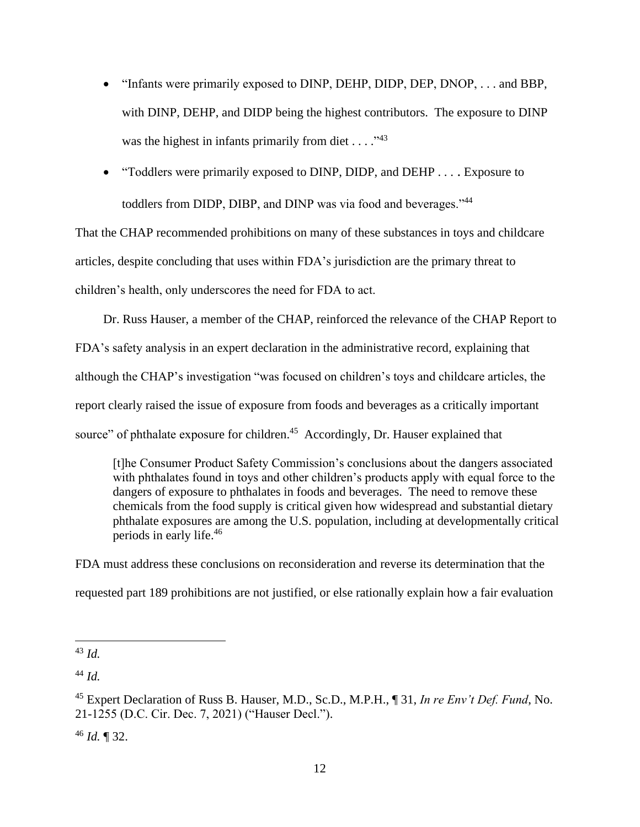- "Infants were primarily exposed to DINP, DEHP, DIDP, DEP, DNOP, . . . and BBP, with DINP, DEHP, and DIDP being the highest contributors. The exposure to DINP was the highest in infants primarily from diet .  $\ldots$ ."<sup>43</sup>
- "Toddlers were primarily exposed to DINP, DIDP, and DEHP . . . . Exposure to toddlers from DIDP, DIBP, and DINP was via food and beverages."<sup>44</sup>

That the CHAP recommended prohibitions on many of these substances in toys and childcare articles, despite concluding that uses within FDA's jurisdiction are the primary threat to children's health, only underscores the need for FDA to act.

Dr. Russ Hauser, a member of the CHAP, reinforced the relevance of the CHAP Report to FDA's safety analysis in an expert declaration in the administrative record, explaining that although the CHAP's investigation "was focused on children's toys and childcare articles, the report clearly raised the issue of exposure from foods and beverages as a critically important source" of phthalate exposure for children.<sup>45</sup> Accordingly, Dr. Hauser explained that

[t]he Consumer Product Safety Commission's conclusions about the dangers associated with phthalates found in toys and other children's products apply with equal force to the dangers of exposure to phthalates in foods and beverages. The need to remove these chemicals from the food supply is critical given how widespread and substantial dietary phthalate exposures are among the U.S. population, including at developmentally critical periods in early life.<sup>46</sup>

FDA must address these conclusions on reconsideration and reverse its determination that the requested part 189 prohibitions are not justified, or else rationally explain how a fair evaluation

<sup>46</sup> *Id.* ¶ 32.

<sup>43</sup> *Id.*

<sup>44</sup> *Id.*

<sup>45</sup> Expert Declaration of Russ B. Hauser, M.D., Sc.D., M.P.H., ¶ 31, *In re Env't Def. Fund*, No. 21-1255 (D.C. Cir. Dec. 7, 2021) ("Hauser Decl.").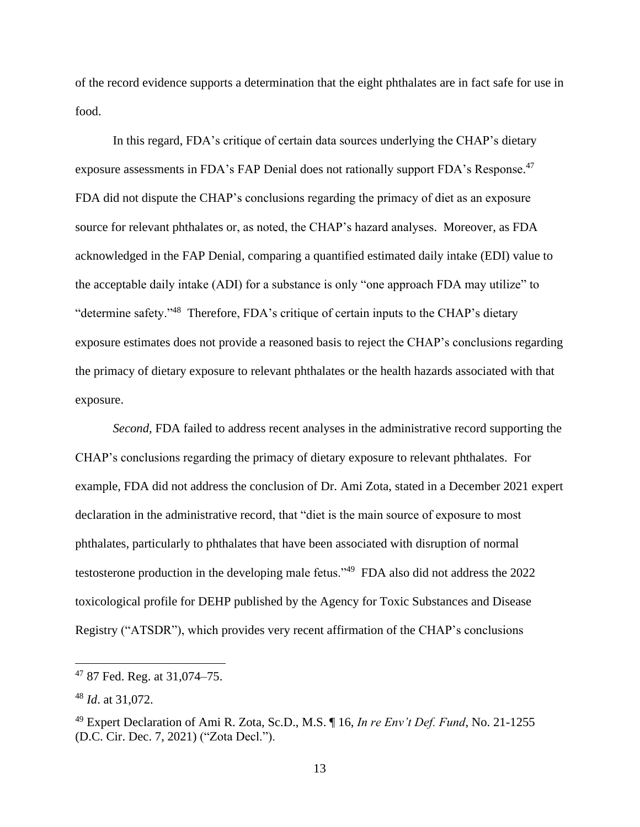of the record evidence supports a determination that the eight phthalates are in fact safe for use in food.

In this regard, FDA's critique of certain data sources underlying the CHAP's dietary exposure assessments in FDA's FAP Denial does not rationally support FDA's Response.<sup>47</sup> FDA did not dispute the CHAP's conclusions regarding the primacy of diet as an exposure source for relevant phthalates or, as noted, the CHAP's hazard analyses. Moreover, as FDA acknowledged in the FAP Denial, comparing a quantified estimated daily intake (EDI) value to the acceptable daily intake (ADI) for a substance is only "one approach FDA may utilize" to "determine safety."<sup>48</sup> Therefore, FDA's critique of certain inputs to the CHAP's dietary exposure estimates does not provide a reasoned basis to reject the CHAP's conclusions regarding the primacy of dietary exposure to relevant phthalates or the health hazards associated with that exposure.

*Second,* FDA failed to address recent analyses in the administrative record supporting the CHAP's conclusions regarding the primacy of dietary exposure to relevant phthalates. For example, FDA did not address the conclusion of Dr. Ami Zota, stated in a December 2021 expert declaration in the administrative record, that "diet is the main source of exposure to most phthalates, particularly to phthalates that have been associated with disruption of normal testosterone production in the developing male fetus."<sup>49</sup> FDA also did not address the 2022 toxicological profile for DEHP published by the Agency for Toxic Substances and Disease Registry ("ATSDR"), which provides very recent affirmation of the CHAP's conclusions

<sup>47</sup> 87 Fed. Reg. at 31,074–75.

<sup>48</sup> *Id*. at 31,072.

<sup>49</sup> Expert Declaration of Ami R. Zota, Sc.D., M.S. ¶ 16, *In re Env't Def. Fund*, No. 21-1255 (D.C. Cir. Dec. 7, 2021) ("Zota Decl.").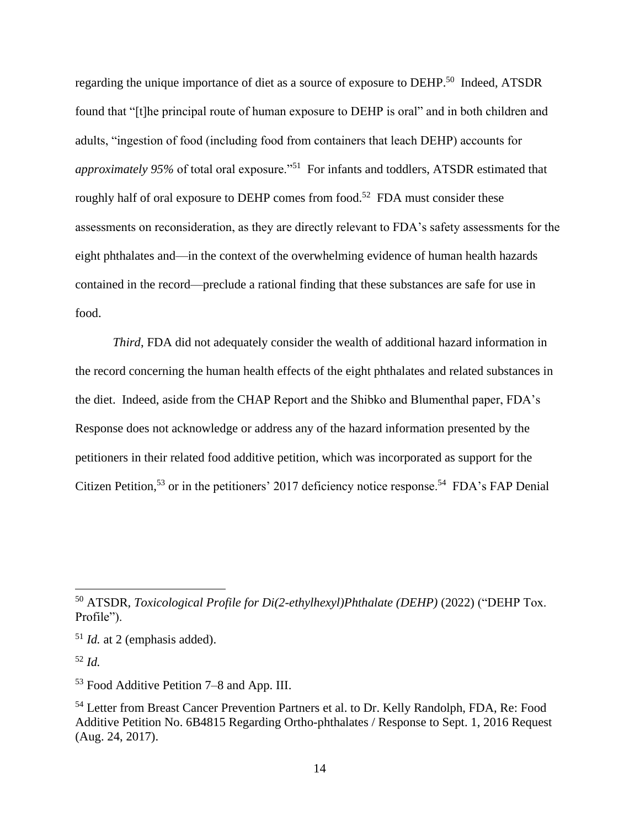regarding the unique importance of diet as a source of exposure to DEHP.<sup>50</sup> Indeed, ATSDR found that "[t]he principal route of human exposure to DEHP is oral" and in both children and adults, "ingestion of food (including food from containers that leach DEHP) accounts for approximately 95% of total oral exposure."<sup>51</sup> For infants and toddlers, ATSDR estimated that roughly half of oral exposure to DEHP comes from food.<sup>52</sup> FDA must consider these assessments on reconsideration, as they are directly relevant to FDA's safety assessments for the eight phthalates and—in the context of the overwhelming evidence of human health hazards contained in the record—preclude a rational finding that these substances are safe for use in food.

*Third*, FDA did not adequately consider the wealth of additional hazard information in the record concerning the human health effects of the eight phthalates and related substances in the diet. Indeed, aside from the CHAP Report and the Shibko and Blumenthal paper, FDA's Response does not acknowledge or address any of the hazard information presented by the petitioners in their related food additive petition, which was incorporated as support for the Citizen Petition,<sup>53</sup> or in the petitioners' 2017 deficiency notice response.<sup>54</sup> FDA's FAP Denial

<sup>50</sup> ATSDR, *Toxicological Profile for Di(2-ethylhexyl)Phthalate (DEHP)* (2022) ("DEHP Tox. Profile").

<sup>51</sup> *Id.* at 2 (emphasis added).

<sup>52</sup> *Id.*

<sup>53</sup> Food Additive Petition 7–8 and App. III.

<sup>54</sup> Letter from Breast Cancer Prevention Partners et al. to Dr. Kelly Randolph, FDA, Re: Food Additive Petition No. 6B4815 Regarding Ortho-phthalates / Response to Sept. 1, 2016 Request (Aug. 24, 2017).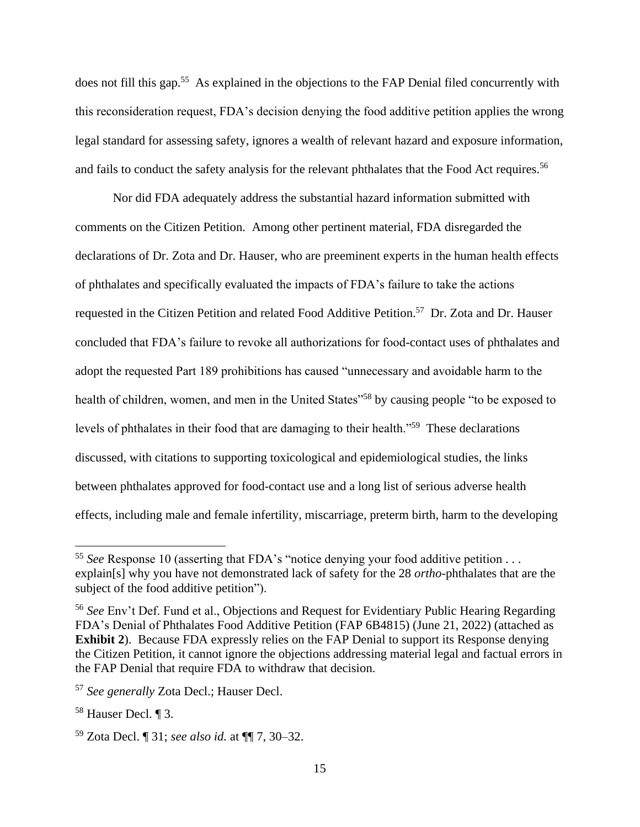does not fill this gap.<sup>55</sup> As explained in the objections to the FAP Denial filed concurrently with this reconsideration request, FDA's decision denying the food additive petition applies the wrong legal standard for assessing safety, ignores a wealth of relevant hazard and exposure information, and fails to conduct the safety analysis for the relevant phthalates that the Food Act requires.<sup>56</sup>

Nor did FDA adequately address the substantial hazard information submitted with comments on the Citizen Petition. Among other pertinent material, FDA disregarded the declarations of Dr. Zota and Dr. Hauser, who are preeminent experts in the human health effects of phthalates and specifically evaluated the impacts of FDA's failure to take the actions requested in the Citizen Petition and related Food Additive Petition.<sup>57</sup> Dr. Zota and Dr. Hauser concluded that FDA's failure to revoke all authorizations for food-contact uses of phthalates and adopt the requested Part 189 prohibitions has caused "unnecessary and avoidable harm to the health of children, women, and men in the United States<sup>"58</sup> by causing people "to be exposed to levels of phthalates in their food that are damaging to their health."<sup>59</sup> These declarations discussed, with citations to supporting toxicological and epidemiological studies, the links between phthalates approved for food-contact use and a long list of serious adverse health effects, including male and female infertility, miscarriage, preterm birth, harm to the developing

<sup>55</sup> *See* Response 10 (asserting that FDA's "notice denying your food additive petition . . . explain[s] why you have not demonstrated lack of safety for the 28 *ortho*-phthalates that are the subject of the food additive petition").

<sup>56</sup> *See* Env't Def. Fund et al., Objections and Request for Evidentiary Public Hearing Regarding FDA's Denial of Phthalates Food Additive Petition (FAP 6B4815) (June 21, 2022) (attached as **Exhibit 2**). Because FDA expressly relies on the FAP Denial to support its Response denying the Citizen Petition, it cannot ignore the objections addressing material legal and factual errors in the FAP Denial that require FDA to withdraw that decision.

<sup>57</sup> *See generally* Zota Decl.; Hauser Decl.

<sup>58</sup> Hauser Decl. ¶ 3.

<sup>59</sup> Zota Decl. ¶ 31; *see also id.* at ¶¶ 7, 30–32.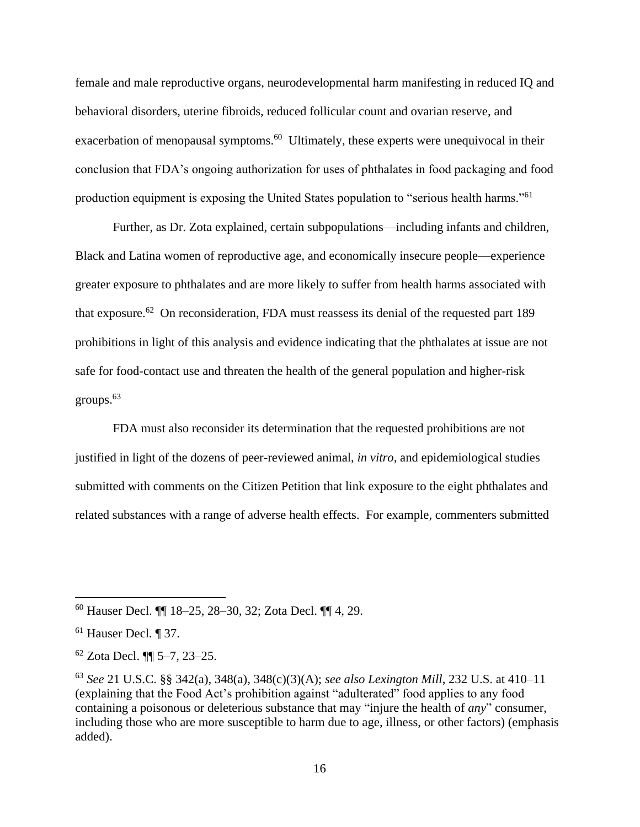female and male reproductive organs, neurodevelopmental harm manifesting in reduced IQ and behavioral disorders, uterine fibroids, reduced follicular count and ovarian reserve, and exacerbation of menopausal symptoms.<sup>60</sup> Ultimately, these experts were unequivocal in their conclusion that FDA's ongoing authorization for uses of phthalates in food packaging and food production equipment is exposing the United States population to "serious health harms."<sup>61</sup>

Further, as Dr. Zota explained, certain subpopulations—including infants and children, Black and Latina women of reproductive age, and economically insecure people—experience greater exposure to phthalates and are more likely to suffer from health harms associated with that exposure.<sup>62</sup> On reconsideration, FDA must reassess its denial of the requested part 189 prohibitions in light of this analysis and evidence indicating that the phthalates at issue are not safe for food-contact use and threaten the health of the general population and higher-risk groups.<sup>63</sup>

FDA must also reconsider its determination that the requested prohibitions are not justified in light of the dozens of peer-reviewed animal, *in vitro*, and epidemiological studies submitted with comments on the Citizen Petition that link exposure to the eight phthalates and related substances with a range of adverse health effects. For example, commenters submitted

<sup>60</sup> Hauser Decl. ¶¶ 18–25, 28–30, 32; Zota Decl. ¶¶ 4, 29.

<sup>61</sup> Hauser Decl*.* ¶ 37.

<sup>62</sup> Zota Decl. ¶¶ 5–7, 23–25.

<sup>63</sup> *See* 21 U.S.C. §§ 342(a), 348(a), 348(c)(3)(A); *see also Lexington Mill*, 232 U.S. at 410–11 (explaining that the Food Act's prohibition against "adulterated" food applies to any food containing a poisonous or deleterious substance that may "injure the health of *any*" consumer, including those who are more susceptible to harm due to age, illness, or other factors) (emphasis added).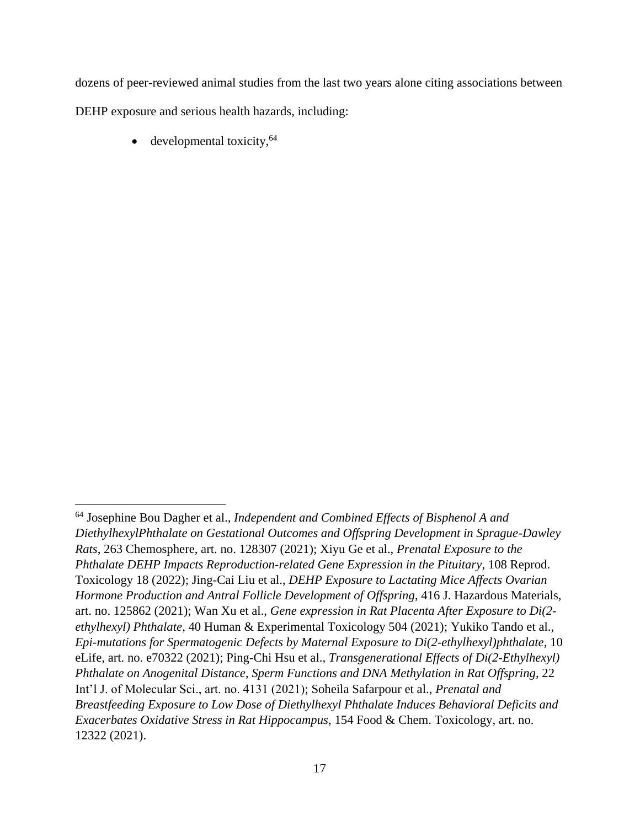dozens of peer-reviewed animal studies from the last two years alone citing associations between DEHP exposure and serious health hazards, including:

developmental toxicity, $64$ 

<sup>64</sup> Josephine Bou Dagher et al., *Independent and Combined Effects of Bisphenol A and DiethylhexylPhthalate on Gestational Outcomes and Offspring Development in Sprague-Dawley Rats*, 263 Chemosphere, art. no. 128307 (2021); Xiyu Ge et al., *Prenatal Exposure to the Phthalate DEHP Impacts Reproduction-related Gene Expression in the Pituitary*, 108 Reprod. Toxicology 18 (2022); Jing-Cai Liu et al., *DEHP Exposure to Lactating Mice Affects Ovarian Hormone Production and Antral Follicle Development of Offspring*, 416 J. Hazardous Materials, art. no. 125862 (2021); Wan Xu et al., *Gene expression in Rat Placenta After Exposure to Di(2 ethylhexyl) Phthalate*, 40 Human & Experimental Toxicology 504 (2021); Yukiko Tando et al., *Epi-mutations for Spermatogenic Defects by Maternal Exposure to Di(2-ethylhexyl)phthalate*, 10 eLife, art. no. e70322 (2021); Ping-Chi Hsu et al., *Transgenerational Effects of Di(2-Ethylhexyl) Phthalate on Anogenital Distance, Sperm Functions and DNA Methylation in Rat Offspring*, 22 Int'l J. of Molecular Sci., art. no. 4131 (2021); Soheila Safarpour et al., *Prenatal and Breastfeeding Exposure to Low Dose of Diethylhexyl Phthalate Induces Behavioral Deficits and Exacerbates Oxidative Stress in Rat Hippocampus*, 154 Food & Chem. Toxicology, art. no. 12322 (2021).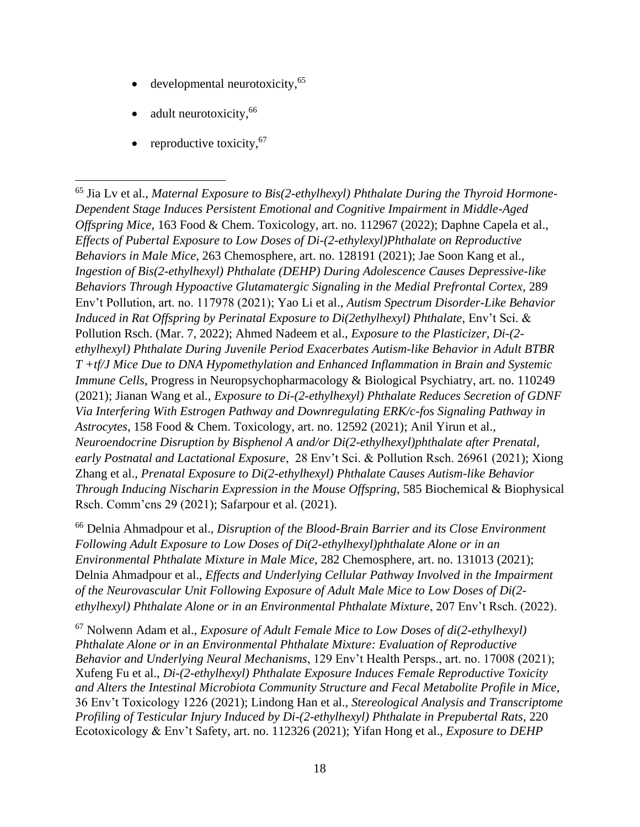- $\bullet$  developmental neurotoxicity,  $65$
- adult neurotoxicity,<sup>66</sup>
- reproductive toxicity,  $67$

<sup>66</sup> Delnia Ahmadpour et al., *Disruption of the Blood-Brain Barrier and its Close Environment Following Adult Exposure to Low Doses of Di(2-ethylhexyl)phthalate Alone or in an Environmental Phthalate Mixture in Male Mice*, 282 Chemosphere, art. no. 131013 (2021); Delnia Ahmadpour et al., *Effects and Underlying Cellular Pathway Involved in the Impairment of the Neurovascular Unit Following Exposure of Adult Male Mice to Low Doses of Di(2 ethylhexyl) Phthalate Alone or in an Environmental Phthalate Mixture*, 207 Env't Rsch. (2022).

<sup>67</sup> Nolwenn Adam et al., *Exposure of Adult Female Mice to Low Doses of di(2-ethylhexyl) Phthalate Alone or in an Environmental Phthalate Mixture: Evaluation of Reproductive Behavior and Underlying Neural Mechanisms*, 129 Env't Health Persps., art. no. 17008 (2021); Xufeng Fu et al., *Di-(2-ethylhexyl) Phthalate Exposure Induces Female Reproductive Toxicity and Alters the Intestinal Microbiota Community Structure and Fecal Metabolite Profile in Mice*, 36 Env't Toxicology 1226 (2021); Lindong Han et al., *Stereological Analysis and Transcriptome Profiling of Testicular Injury Induced by Di-(2-ethylhexyl) Phthalate in Prepubertal Rats*, 220 Ecotoxicology & Env't Safety, art. no. 112326 (2021); Yifan Hong et al., *Exposure to DEHP* 

<sup>65</sup> Jia Lv et al., *Maternal Exposure to Bis(2-ethylhexyl) Phthalate During the Thyroid Hormone-Dependent Stage Induces Persistent Emotional and Cognitive Impairment in Middle-Aged Offspring Mice*, 163 Food & Chem. Toxicology, art. no. 112967 (2022); Daphne Capela et al., *Effects of Pubertal Exposure to Low Doses of Di-(2-ethylexyl)Phthalate on Reproductive Behaviors in Male Mice*, 263 Chemosphere, art. no. 128191 (2021); Jae Soon Kang et al., *Ingestion of Bis(2-ethylhexyl) Phthalate (DEHP) During Adolescence Causes Depressive-like Behaviors Through Hypoactive Glutamatergic Signaling in the Medial Prefrontal Cortex*, 289 Env't Pollution, art. no. 117978 (2021); Yao Li et al., *Autism Spectrum Disorder-Like Behavior Induced in Rat Offspring by Perinatal Exposure to Di(2ethylhexyl) Phthalate*, Env't Sci. & Pollution Rsch. (Mar. 7, 2022); Ahmed Nadeem et al., *Exposure to the Plasticizer, Di-(2 ethylhexyl) Phthalate During Juvenile Period Exacerbates Autism-like Behavior in Adult BTBR T +tf/J Mice Due to DNA Hypomethylation and Enhanced Inflammation in Brain and Systemic Immune Cells*, Progress in Neuropsychopharmacology & Biological Psychiatry, art. no. 110249 (2021); Jianan Wang et al., *Exposure to Di-(2-ethylhexyl) Phthalate Reduces Secretion of GDNF Via Interfering With Estrogen Pathway and Downregulating ERK/c-fos Signaling Pathway in Astrocytes*, 158 Food & Chem. Toxicology, art. no. 12592 (2021); Anil Yirun et al., *Neuroendocrine Disruption by Bisphenol A and/or Di(2-ethylhexyl)phthalate after Prenatal, early Postnatal and Lactational Exposure*, 28 Env't Sci. & Pollution Rsch. 26961 (2021); Xiong Zhang et al., *Prenatal Exposure to Di(2-ethylhexyl) Phthalate Causes Autism-like Behavior Through Inducing Nischarin Expression in the Mouse Offspring*, 585 Biochemical & Biophysical Rsch. Comm'cns 29 (2021); Safarpour et al. (2021).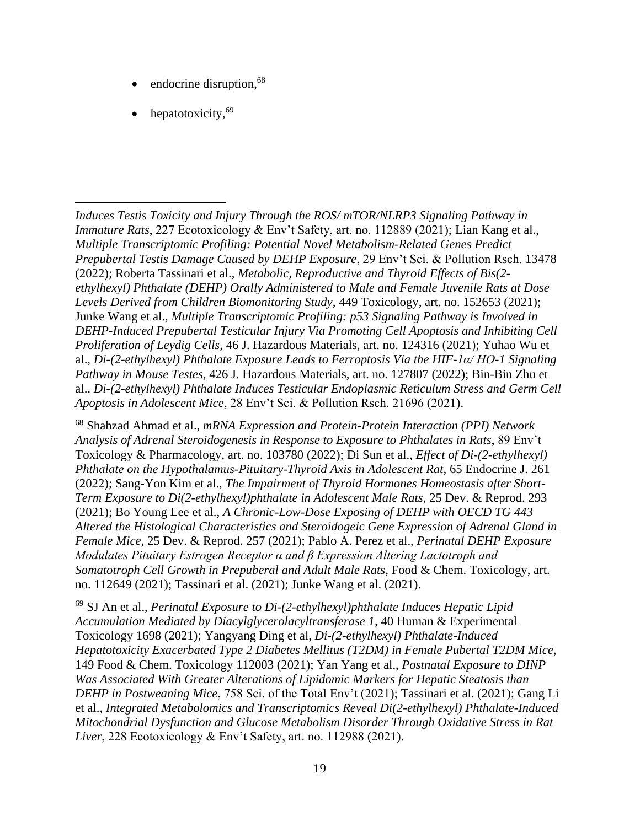- endocrine disruption,<sup>68</sup>
- hepatotoxicity.<sup>69</sup>

*Induces Testis Toxicity and Injury Through the ROS/ mTOR/NLRP3 Signaling Pathway in Immature Rats*, 227 Ecotoxicology & Env't Safety, art. no. 112889 (2021); Lian Kang et al., *Multiple Transcriptomic Profiling: Potential Novel Metabolism-Related Genes Predict Prepubertal Testis Damage Caused by DEHP Exposure*, 29 Env't Sci. & Pollution Rsch. 13478 (2022); Roberta Tassinari et al., *Metabolic, Reproductive and Thyroid Effects of Bis(2 ethylhexyl) Phthalate (DEHP) Orally Administered to Male and Female Juvenile Rats at Dose Levels Derived from Children Biomonitoring Study*, 449 Toxicology, art. no. 152653 (2021); Junke Wang et al., *Multiple Transcriptomic Profiling: p53 Signaling Pathway is Involved in DEHP-Induced Prepubertal Testicular Injury Via Promoting Cell Apoptosis and Inhibiting Cell Proliferation of Leydig Cells*, 46 J. Hazardous Materials, art. no. 124316 (2021); Yuhao Wu et al., *Di-(2-ethylhexyl) Phthalate Exposure Leads to Ferroptosis Via the HIF-1α/ HO-1 Signaling Pathway in Mouse Testes*, 426 J. Hazardous Materials, art. no. 127807 (2022); Bin-Bin Zhu et al., *Di-(2-ethylhexyl) Phthalate Induces Testicular Endoplasmic Reticulum Stress and Germ Cell Apoptosis in Adolescent Mice*, 28 Env't Sci. & Pollution Rsch. 21696 (2021).

<sup>68</sup> Shahzad Ahmad et al., *mRNA Expression and Protein-Protein Interaction (PPI) Network Analysis of Adrenal Steroidogenesis in Response to Exposure to Phthalates in Rats*, 89 Env't Toxicology & Pharmacology, art. no. 103780 (2022); Di Sun et al., *Effect of Di-(2-ethylhexyl) Phthalate on the Hypothalamus-Pituitary-Thyroid Axis in Adolescent Rat*, 65 Endocrine J. 261 (2022); Sang-Yon Kim et al., *The Impairment of Thyroid Hormones Homeostasis after Short-Term Exposure to Di(2-ethylhexyl)phthalate in Adolescent Male Rats*, 25 Dev. & Reprod. 293 (2021); Bo Young Lee et al., *A Chronic-Low-Dose Exposing of DEHP with OECD TG 443 Altered the Histological Characteristics and Steroidogeic Gene Expression of Adrenal Gland in Female Mice,* 25 Dev. & Reprod. 257 (2021); Pablo A. Perez et al., *Perinatal DEHP Exposure Modulates Pituitary Estrogen Receptor α and β Expression Altering Lactotroph and Somatotroph Cell Growth in Prepuberal and Adult Male Rats*, Food & Chem. Toxicology, art. no. 112649 (2021); Tassinari et al. (2021); Junke Wang et al. (2021).

<sup>69</sup> SJ An et al., *Perinatal Exposure to Di-(2-ethylhexyl)phthalate Induces Hepatic Lipid Accumulation Mediated by Diacylglycerolacyltransferase 1*, 40 Human & Experimental Toxicology 1698 (2021); Yangyang Ding et al, *Di-(2-ethylhexyl) Phthalate-Induced Hepatotoxicity Exacerbated Type 2 Diabetes Mellitus (T2DM) in Female Pubertal T2DM Mice*, 149 Food & Chem. Toxicology 112003 (2021); Yan Yang et al., *Postnatal Exposure to DINP Was Associated With Greater Alterations of Lipidomic Markers for Hepatic Steatosis than DEHP in Postweaning Mice*, 758 Sci. of the Total Env't (2021); Tassinari et al. (2021); Gang Li et al., *Integrated Metabolomics and Transcriptomics Reveal Di(2-ethylhexyl) Phthalate-Induced Mitochondrial Dysfunction and Glucose Metabolism Disorder Through Oxidative Stress in Rat Liver*, 228 Ecotoxicology & Env't Safety, art. no. 112988 (2021).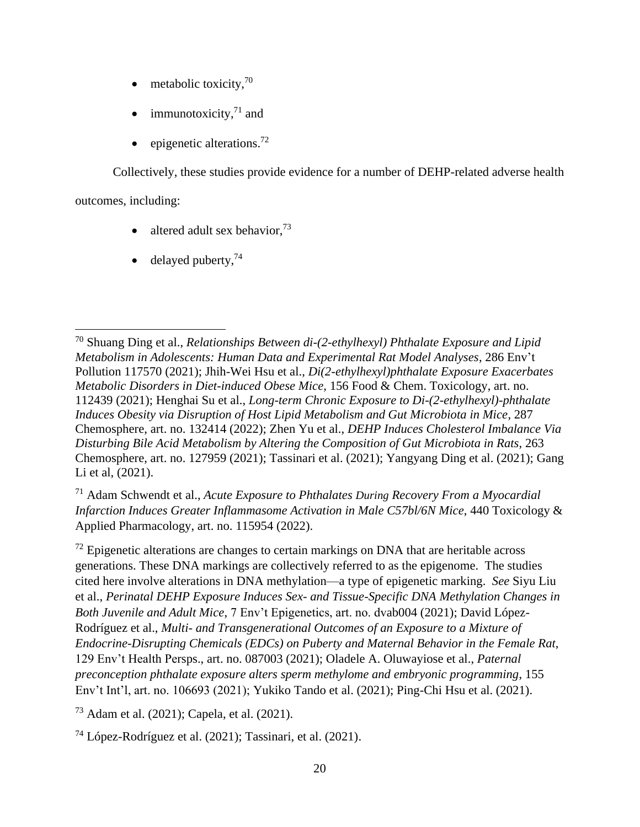- metabolic toxicity, $70$
- immunotoxicity, $71$  and
- $\bullet$  epigenetic alterations.<sup>72</sup>

Collectively, these studies provide evidence for a number of DEHP-related adverse health

outcomes, including:

- altered adult sex behavior,  $73$
- delayed puberty,  $74$

<sup>71</sup> Adam Schwendt et al., *Acute Exposure to Phthalates During Recovery From a Myocardial Infarction Induces Greater Inflammasome Activation in Male C57bl/6N Mice*, 440 Toxicology & Applied Pharmacology, art. no. 115954 (2022).

 $<sup>72</sup>$  Epigenetic alterations are changes to certain markings on DNA that are heritable across</sup> generations. These DNA markings are collectively referred to as the epigenome. The studies cited here involve alterations in DNA methylation—a type of epigenetic marking. *See* Siyu Liu et al., *Perinatal DEHP Exposure Induces Sex- and Tissue-Specific DNA Methylation Changes in Both Juvenile and Adult Mice*, 7 Env't Epigenetics, art. no. dvab004 (2021); David López-Rodríguez et al., *Multi- and Transgenerational Outcomes of an Exposure to a Mixture of Endocrine-Disrupting Chemicals (EDCs) on Puberty and Maternal Behavior in the Female Rat*, 129 Env't Health Persps., art. no. 087003 (2021); Oladele A. Oluwayiose et al., *Paternal preconception phthalate exposure alters sperm methylome and embryonic programming*, 155 Env't Int'l, art. no. 106693 (2021); Yukiko Tando et al. (2021); Ping-Chi Hsu et al. (2021).

<sup>73</sup> Adam et al. (2021); Capela, et al. (2021).

 $^{74}$  López-Rodríguez et al. (2021); Tassinari, et al. (2021).

<sup>70</sup> Shuang Ding et al., *Relationships Between di-(2-ethylhexyl) Phthalate Exposure and Lipid Metabolism in Adolescents: Human Data and Experimental Rat Model Analyses*, 286 Env't Pollution 117570 (2021); Jhih-Wei Hsu et al., *Di(2-ethylhexyl)phthalate Exposure Exacerbates Metabolic Disorders in Diet-induced Obese Mice*, 156 Food & Chem. Toxicology, art. no. 112439 (2021); Henghai Su et al., *Long-term Chronic Exposure to Di-(2-ethylhexyl)-phthalate Induces Obesity via Disruption of Host Lipid Metabolism and Gut Microbiota in Mice*, 287 Chemosphere, art. no. 132414 (2022); Zhen Yu et al., *DEHP Induces Cholesterol Imbalance Via Disturbing Bile Acid Metabolism by Altering the Composition of Gut Microbiota in Rats*, 263 Chemosphere, art. no. 127959 (2021); Tassinari et al. (2021); Yangyang Ding et al. (2021); Gang Li et al, (2021).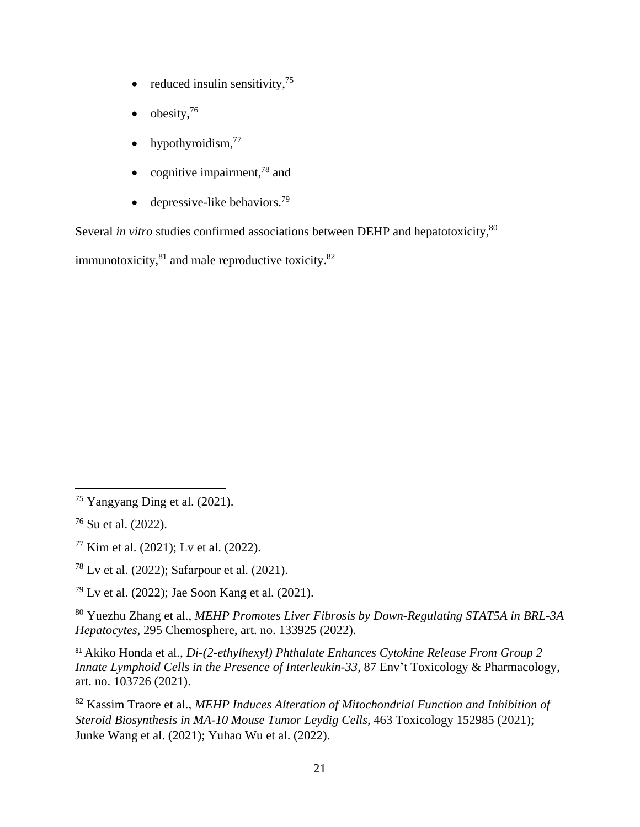- reduced insulin sensitivity, $^{75}$
- obesity, $^{76}$
- hypothyroidism, $^{77}$
- cognitive impairment, $78$  and
- depressive-like behaviors.<sup>79</sup>

Several *in vitro* studies confirmed associations between DEHP and hepatotoxicity,<sup>80</sup>

immunotoxicity, $81$  and male reproductive toxicity. $82$ 

<sup>75</sup> Yangyang Ding et al. (2021).

<sup>76</sup> Su et al. (2022).

<sup>77</sup> Kim et al. (2021); Lv et al. (2022).

<sup>78</sup> Lv et al. (2022); Safarpour et al. (2021).

<sup>79</sup> Lv et al. (2022); Jae Soon Kang et al. (2021).

<sup>80</sup> Yuezhu Zhang et al., *MEHP Promotes Liver Fibrosis by Down-Regulating STAT5A in BRL-3A Hepatocytes*, 295 Chemosphere, art. no. 133925 (2022).

<sup>81</sup> Akiko Honda et al., *Di-(2-ethylhexyl) Phthalate Enhances Cytokine Release From Group 2 Innate Lymphoid Cells in the Presence of Interleukin-33*, 87 Env't Toxicology & Pharmacology, art. no. 103726 (2021).

<sup>82</sup> Kassim Traore et al., *MEHP Induces Alteration of Mitochondrial Function and Inhibition of Steroid Biosynthesis in MA-10 Mouse Tumor Leydig Cells*, 463 Toxicology 152985 (2021); Junke Wang et al. (2021); Yuhao Wu et al. (2022).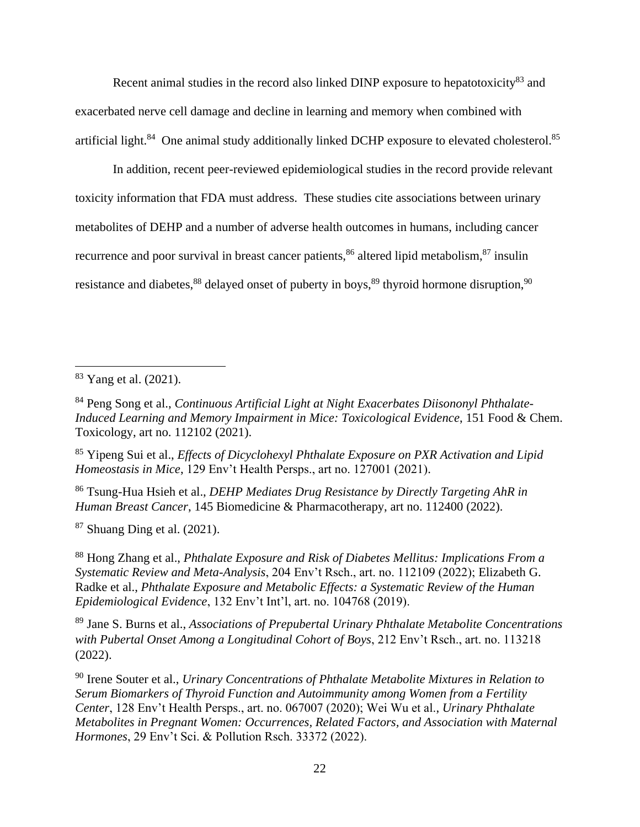Recent animal studies in the record also linked DINP exposure to hepatotoxicity<sup>83</sup> and exacerbated nerve cell damage and decline in learning and memory when combined with artificial light.<sup>84</sup> One animal study additionally linked DCHP exposure to elevated cholesterol.<sup>85</sup>

In addition, recent peer-reviewed epidemiological studies in the record provide relevant toxicity information that FDA must address. These studies cite associations between urinary metabolites of DEHP and a number of adverse health outcomes in humans, including cancer recurrence and poor survival in breast cancer patients,  $86$  altered lipid metabolism,  $87$  insulin resistance and diabetes,  $88$  delayed onset of puberty in boys,  $89$  thyroid hormone disruption,  $90$ 

<sup>85</sup> Yipeng Sui et al., *Effects of Dicyclohexyl Phthalate Exposure on PXR Activation and Lipid Homeostasis in Mice*, 129 Env't Health Persps., art no. 127001 (2021).

<sup>86</sup> Tsung-Hua Hsieh et al., *DEHP Mediates Drug Resistance by Directly Targeting AhR in Human Breast Cancer*, 145 Biomedicine & Pharmacotherapy, art no. 112400 (2022).

 $87$  Shuang Ding et al. (2021).

<sup>88</sup> Hong Zhang et al., *Phthalate Exposure and Risk of Diabetes Mellitus: Implications From a Systematic Review and Meta-Analysis*, 204 Env't Rsch., art. no. 112109 (2022); Elizabeth G. Radke et al., *Phthalate Exposure and Metabolic Effects: a Systematic Review of the Human Epidemiological Evidence*, 132 Env't Int'l, art. no. 104768 (2019).

<sup>89</sup> Jane S. Burns et al., *Associations of Prepubertal Urinary Phthalate Metabolite Concentrations with Pubertal Onset Among a Longitudinal Cohort of Boys*, 212 Env't Rsch., art. no. 113218 (2022).

<sup>90</sup> Irene Souter et al., *Urinary Concentrations of Phthalate Metabolite Mixtures in Relation to Serum Biomarkers of Thyroid Function and Autoimmunity among Women from a Fertility Center*, 128 Env't Health Persps., art. no. 067007 (2020); Wei Wu et al., *Urinary Phthalate Metabolites in Pregnant Women: Occurrences, Related Factors, and Association with Maternal Hormones*, 29 Env't Sci. & Pollution Rsch. 33372 (2022).

<sup>83</sup> Yang et al. (2021).

<sup>84</sup> Peng Song et al., *Continuous Artificial Light at Night Exacerbates Diisononyl Phthalate-Induced Learning and Memory Impairment in Mice: Toxicological Evidence*, 151 Food & Chem. Toxicology, art no. 112102 (2021).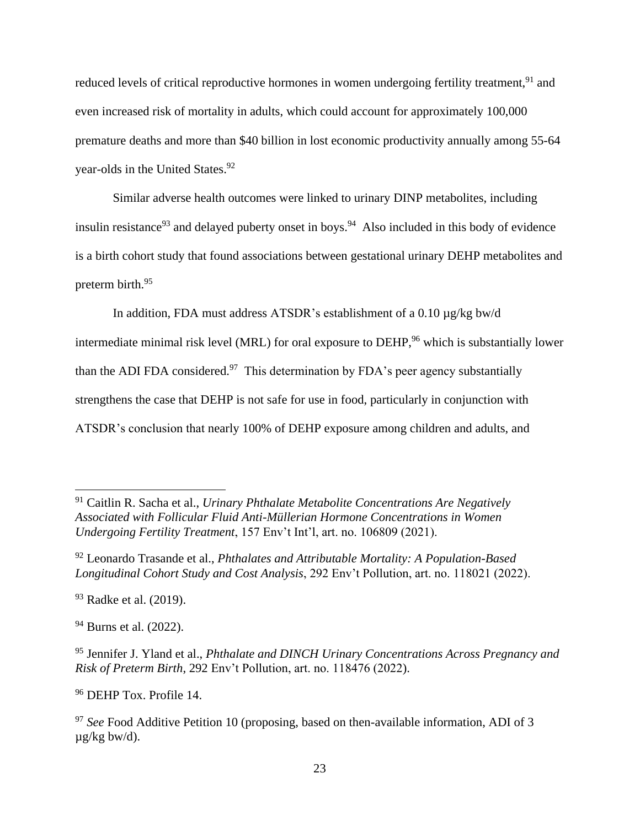reduced levels of critical reproductive hormones in women undergoing fertility treatment,<sup>91</sup> and even increased risk of mortality in adults, which could account for approximately 100,000 premature deaths and more than \$40 billion in lost economic productivity annually among 55-64 year-olds in the United States.<sup>92</sup>

Similar adverse health outcomes were linked to urinary DINP metabolites, including insulin resistance<sup>93</sup> and delayed puberty onset in boys.<sup>94</sup> Also included in this body of evidence is a birth cohort study that found associations between gestational urinary DEHP metabolites and preterm birth. 95

In addition, FDA must address ATSDR's establishment of a 0.10 µg/kg bw/d

intermediate minimal risk level (MRL) for oral exposure to DEHP, <sup>96</sup> which is substantially lower than the ADI FDA considered.<sup>97</sup> This determination by FDA's peer agency substantially strengthens the case that DEHP is not safe for use in food, particularly in conjunction with ATSDR's conclusion that nearly 100% of DEHP exposure among children and adults, and

<sup>94</sup> Burns et al. (2022).

<sup>96</sup> DEHP Tox. Profile 14.

<sup>91</sup> Caitlin R. Sacha et al., *Urinary Phthalate Metabolite Concentrations Are Negatively Associated with Follicular Fluid Anti-Müllerian Hormone Concentrations in Women Undergoing Fertility Treatment*, 157 Env't Int'l, art. no. 106809 (2021).

<sup>92</sup> Leonardo Trasande et al., *Phthalates and Attributable Mortality: A Population-Based Longitudinal Cohort Study and Cost Analysis*, 292 Env't Pollution, art. no. 118021 (2022).

<sup>&</sup>lt;sup>93</sup> Radke et al. (2019).

<sup>95</sup> Jennifer J. Yland et al., *Phthalate and DINCH Urinary Concentrations Across Pregnancy and Risk of Preterm Birth*, 292 Env't Pollution, art. no. 118476 (2022).

<sup>&</sup>lt;sup>97</sup> See Food Additive Petition 10 (proposing, based on then-available information, ADI of 3 µg/kg bw/d).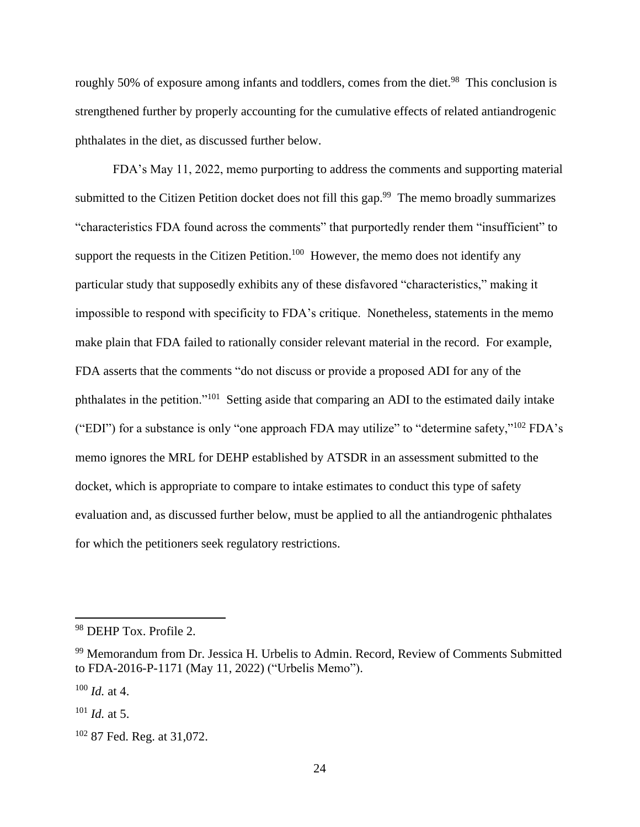roughly 50% of exposure among infants and toddlers, comes from the diet.<sup>98</sup> This conclusion is strengthened further by properly accounting for the cumulative effects of related antiandrogenic phthalates in the diet, as discussed further below.

FDA's May 11, 2022, memo purporting to address the comments and supporting material submitted to the Citizen Petition docket does not fill this gap.<sup>99</sup> The memo broadly summarizes "characteristics FDA found across the comments" that purportedly render them "insufficient" to support the requests in the Citizen Petition.<sup>100</sup> However, the memo does not identify any particular study that supposedly exhibits any of these disfavored "characteristics," making it impossible to respond with specificity to FDA's critique. Nonetheless, statements in the memo make plain that FDA failed to rationally consider relevant material in the record. For example, FDA asserts that the comments "do not discuss or provide a proposed ADI for any of the phthalates in the petition."<sup>101</sup> Setting aside that comparing an ADI to the estimated daily intake ("EDI") for a substance is only "one approach FDA may utilize" to "determine safety,"<sup>102</sup> FDA's memo ignores the MRL for DEHP established by ATSDR in an assessment submitted to the docket, which is appropriate to compare to intake estimates to conduct this type of safety evaluation and, as discussed further below, must be applied to all the antiandrogenic phthalates for which the petitioners seek regulatory restrictions.

<sup>98</sup> DEHP Tox. Profile 2.

<sup>&</sup>lt;sup>99</sup> Memorandum from Dr. Jessica H. Urbelis to Admin. Record, Review of Comments Submitted to FDA-2016-P-1171 (May 11, 2022) ("Urbelis Memo").

<sup>100</sup> *Id.* at 4.

<sup>101</sup> *Id.* at 5.

<sup>&</sup>lt;sup>102</sup> 87 Fed. Reg. at 31,072.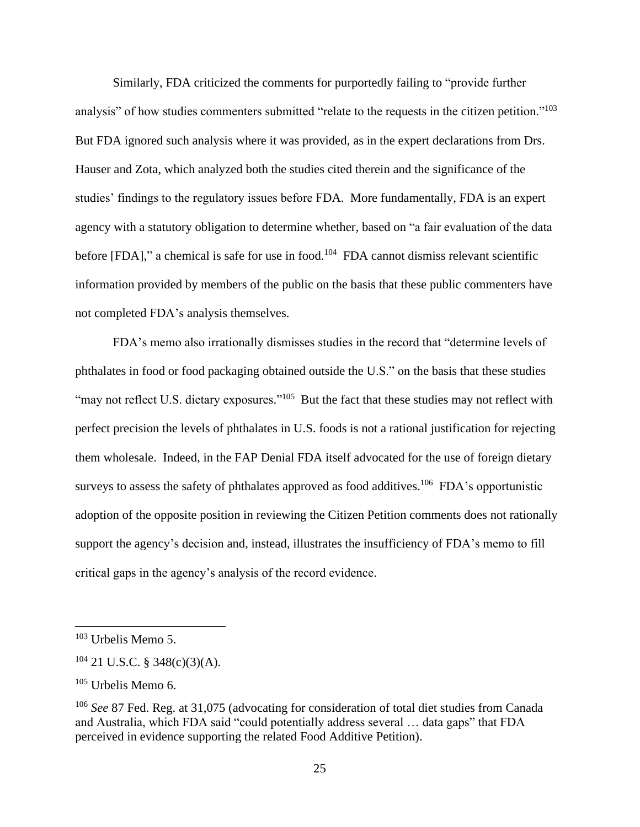Similarly, FDA criticized the comments for purportedly failing to "provide further analysis" of how studies commenters submitted "relate to the requests in the citizen petition."<sup>103</sup> But FDA ignored such analysis where it was provided, as in the expert declarations from Drs. Hauser and Zota, which analyzed both the studies cited therein and the significance of the studies' findings to the regulatory issues before FDA. More fundamentally, FDA is an expert agency with a statutory obligation to determine whether, based on "a fair evaluation of the data before [FDA]," a chemical is safe for use in food.<sup>104</sup> FDA cannot dismiss relevant scientific information provided by members of the public on the basis that these public commenters have not completed FDA's analysis themselves.

FDA's memo also irrationally dismisses studies in the record that "determine levels of phthalates in food or food packaging obtained outside the U.S." on the basis that these studies "may not reflect U.S. dietary exposures."<sup>105</sup> But the fact that these studies may not reflect with perfect precision the levels of phthalates in U.S. foods is not a rational justification for rejecting them wholesale. Indeed, in the FAP Denial FDA itself advocated for the use of foreign dietary surveys to assess the safety of phthalates approved as food additives.<sup>106</sup> FDA's opportunistic adoption of the opposite position in reviewing the Citizen Petition comments does not rationally support the agency's decision and, instead, illustrates the insufficiency of FDA's memo to fill critical gaps in the agency's analysis of the record evidence.

 $103$  Urbelis Memo 5.

 $104$  21 U.S.C. § 348(c)(3)(A).

 $105$  Urbelis Memo 6.

<sup>106</sup> *See* 87 Fed. Reg. at 31,075 (advocating for consideration of total diet studies from Canada and Australia, which FDA said "could potentially address several … data gaps" that FDA perceived in evidence supporting the related Food Additive Petition).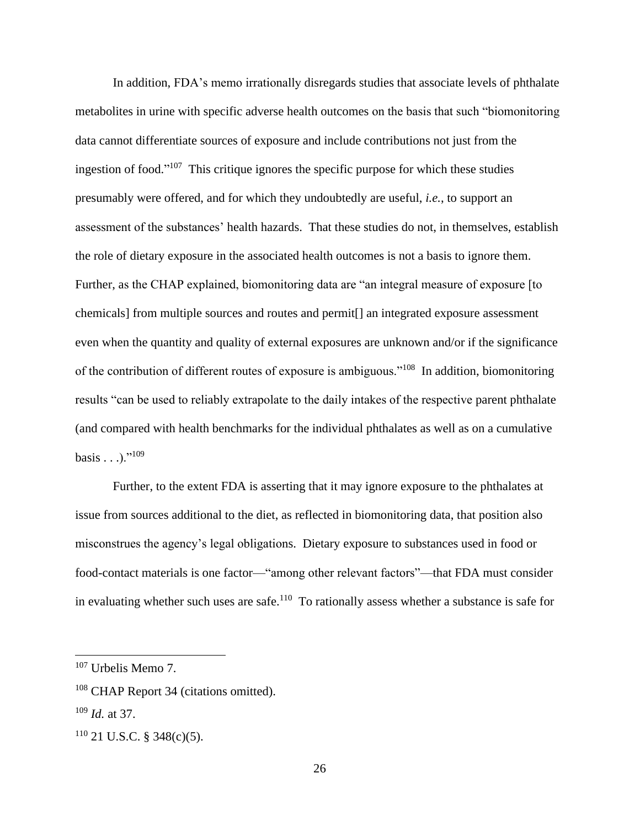In addition, FDA's memo irrationally disregards studies that associate levels of phthalate metabolites in urine with specific adverse health outcomes on the basis that such "biomonitoring data cannot differentiate sources of exposure and include contributions not just from the ingestion of food." 107 This critique ignores the specific purpose for which these studies presumably were offered, and for which they undoubtedly are useful, *i.e.*, to support an assessment of the substances' health hazards. That these studies do not, in themselves, establish the role of dietary exposure in the associated health outcomes is not a basis to ignore them. Further, as the CHAP explained, biomonitoring data are "an integral measure of exposure [to] chemicals] from multiple sources and routes and permit[] an integrated exposure assessment even when the quantity and quality of external exposures are unknown and/or if the significance of the contribution of different routes of exposure is ambiguous."<sup>108</sup> In addition, biomonitoring results "can be used to reliably extrapolate to the daily intakes of the respective parent phthalate (and compared with health benchmarks for the individual phthalates as well as on a cumulative basis . . .)."<sup>109</sup>

Further, to the extent FDA is asserting that it may ignore exposure to the phthalates at issue from sources additional to the diet, as reflected in biomonitoring data, that position also misconstrues the agency's legal obligations. Dietary exposure to substances used in food or food-contact materials is one factor—"among other relevant factors"—that FDA must consider in evaluating whether such uses are safe.<sup>110</sup> To rationally assess whether a substance is safe for

<sup>107</sup> Urbelis Memo 7.

<sup>&</sup>lt;sup>108</sup> CHAP Report 34 (citations omitted).

<sup>109</sup> *Id.* at 37.

 $110$  21 U.S.C. § 348(c)(5).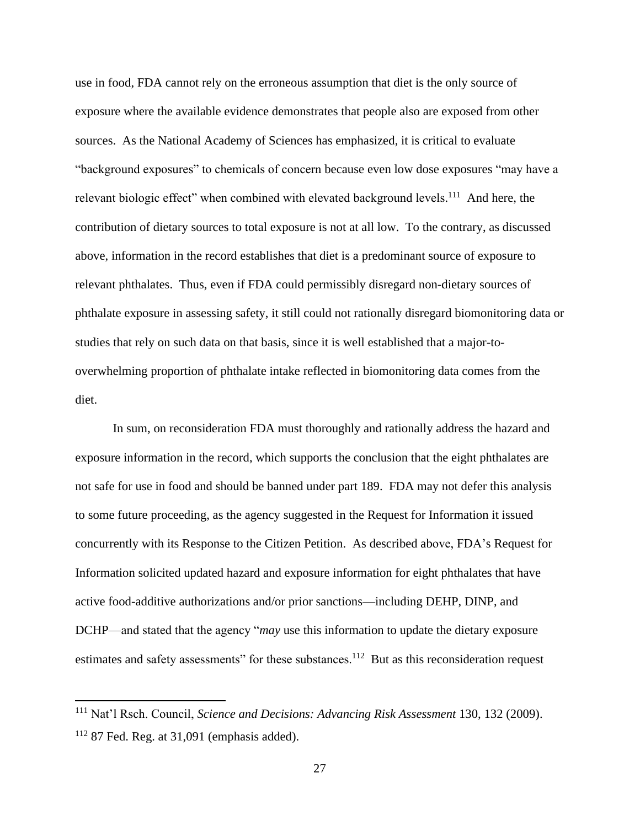use in food, FDA cannot rely on the erroneous assumption that diet is the only source of exposure where the available evidence demonstrates that people also are exposed from other sources. As the National Academy of Sciences has emphasized, it is critical to evaluate "background exposures" to chemicals of concern because even low dose exposures "may have a relevant biologic effect" when combined with elevated background levels.<sup>111</sup> And here, the contribution of dietary sources to total exposure is not at all low. To the contrary, as discussed above, information in the record establishes that diet is a predominant source of exposure to relevant phthalates. Thus, even if FDA could permissibly disregard non-dietary sources of phthalate exposure in assessing safety, it still could not rationally disregard biomonitoring data or studies that rely on such data on that basis, since it is well established that a major-tooverwhelming proportion of phthalate intake reflected in biomonitoring data comes from the diet.

In sum, on reconsideration FDA must thoroughly and rationally address the hazard and exposure information in the record, which supports the conclusion that the eight phthalates are not safe for use in food and should be banned under part 189. FDA may not defer this analysis to some future proceeding, as the agency suggested in the Request for Information it issued concurrently with its Response to the Citizen Petition. As described above, FDA's Request for Information solicited updated hazard and exposure information for eight phthalates that have active food-additive authorizations and/or prior sanctions—including DEHP, DINP, and DCHP—and stated that the agency "*may* use this information to update the dietary exposure estimates and safety assessments" for these substances.<sup>112</sup> But as this reconsideration request

<sup>111</sup> Nat'l Rsch. Council, *Science and Decisions: Advancing Risk Assessment* 130, 132 (2009).  $112$  87 Fed. Reg. at 31,091 (emphasis added).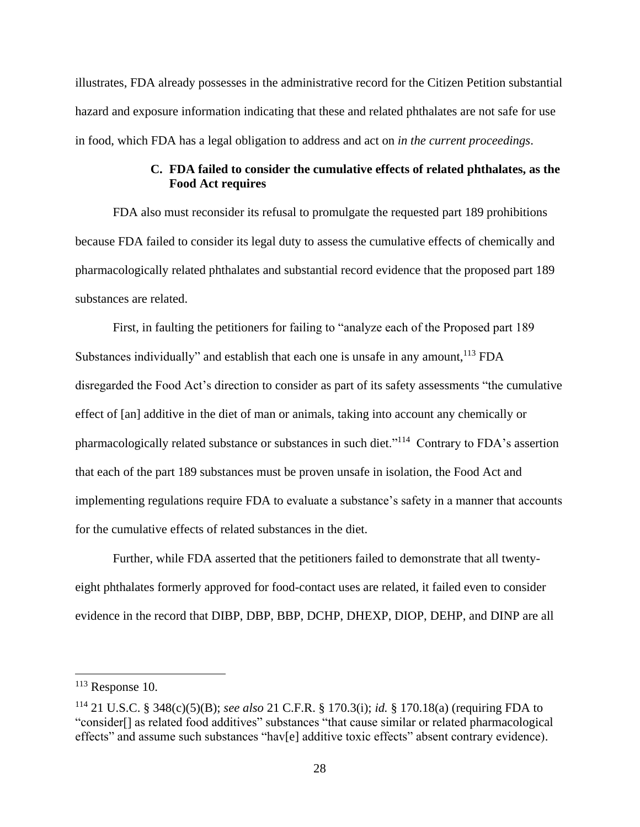illustrates, FDA already possesses in the administrative record for the Citizen Petition substantial hazard and exposure information indicating that these and related phthalates are not safe for use in food, which FDA has a legal obligation to address and act on *in the current proceedings*.

## **C. FDA failed to consider the cumulative effects of related phthalates, as the Food Act requires**

FDA also must reconsider its refusal to promulgate the requested part 189 prohibitions because FDA failed to consider its legal duty to assess the cumulative effects of chemically and pharmacologically related phthalates and substantial record evidence that the proposed part 189 substances are related.

First, in faulting the petitioners for failing to "analyze each of the Proposed part 189 Substances individually" and establish that each one is unsafe in any amount,<sup>113</sup> FDA disregarded the Food Act's direction to consider as part of its safety assessments "the cumulative effect of [an] additive in the diet of man or animals, taking into account any chemically or pharmacologically related substance or substances in such diet."<sup>114</sup> Contrary to FDA's assertion that each of the part 189 substances must be proven unsafe in isolation, the Food Act and implementing regulations require FDA to evaluate a substance's safety in a manner that accounts for the cumulative effects of related substances in the diet.

Further, while FDA asserted that the petitioners failed to demonstrate that all twentyeight phthalates formerly approved for food-contact uses are related, it failed even to consider evidence in the record that DIBP, DBP, BBP, DCHP, DHEXP, DIOP, DEHP, and DINP are all

 $113$  Response 10.

<sup>114</sup> 21 U.S.C. § 348(c)(5)(B); *see also* 21 C.F.R. § 170.3(i); *id.* § 170.18(a) (requiring FDA to "consider[] as related food additives" substances "that cause similar or related pharmacological effects" and assume such substances "hav[e] additive toxic effects" absent contrary evidence).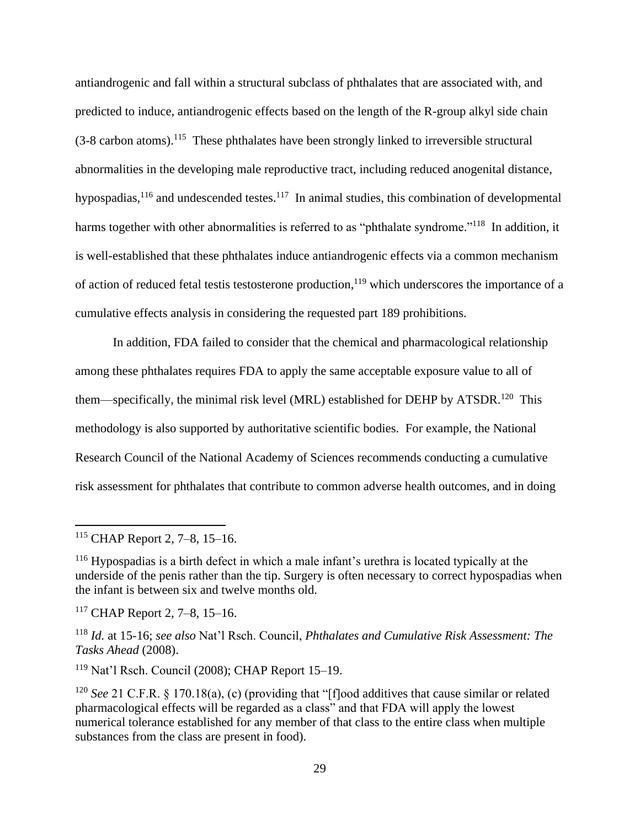antiandrogenic and fall within a structural subclass of phthalates that are associated with, and predicted to induce, antiandrogenic effects based on the length of the R-group alkyl side chain  $(3-8 \text{ carbon atoms})$ .<sup>115</sup> These phthalates have been strongly linked to irreversible structural abnormalities in the developing male reproductive tract, including reduced anogenital distance, hypospadias, $116$  and undescended testes. $117$  In animal studies, this combination of developmental harms together with other abnormalities is referred to as "phthalate syndrome."<sup>118</sup> In addition, it is well-established that these phthalates induce antiandrogenic effects via a common mechanism of action of reduced fetal testis testosterone production,<sup>119</sup> which underscores the importance of a cumulative effects analysis in considering the requested part 189 prohibitions.

In addition, FDA failed to consider that the chemical and pharmacological relationship among these phthalates requires FDA to apply the same acceptable exposure value to all of them—specifically, the minimal risk level (MRL) established for DEHP by ATSDR.<sup>120</sup> This methodology is also supported by authoritative scientific bodies. For example, the National Research Council of the National Academy of Sciences recommends conducting a cumulative risk assessment for phthalates that contribute to common adverse health outcomes, and in doing

<sup>119</sup> Nat'l Rsch. Council (2008); CHAP Report 15–19.

<sup>115</sup> CHAP Report 2, 7–8, 15–16.

<sup>116</sup> Hypospadias is a birth defect in which a male infant's urethra is located typically at the underside of the penis rather than the tip. Surgery is often necessary to correct hypospadias when the infant is between six and twelve months old.

<sup>117</sup> CHAP Report 2, 7–8, 15–16.

<sup>118</sup> *Id.* at 15-16; *see also* Nat'l Rsch. Council, *Phthalates and Cumulative Risk Assessment: The Tasks Ahead* (2008).

<sup>120</sup> *See* 21 C.F.R. § 170.18(a), (c) (providing that "[f]ood additives that cause similar or related pharmacological effects will be regarded as a class" and that FDA will apply the lowest numerical tolerance established for any member of that class to the entire class when multiple substances from the class are present in food).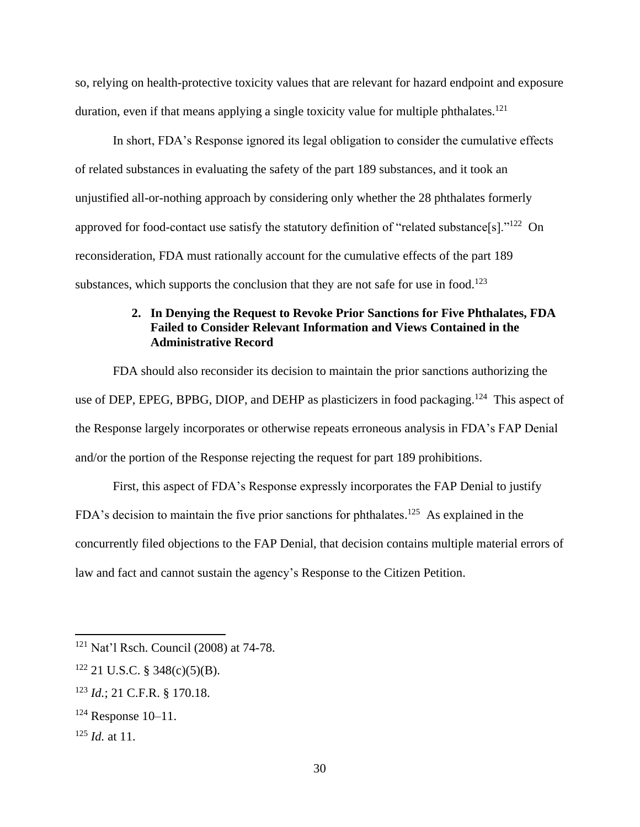so, relying on health-protective toxicity values that are relevant for hazard endpoint and exposure duration, even if that means applying a single toxicity value for multiple phthalates.<sup>121</sup>

In short, FDA's Response ignored its legal obligation to consider the cumulative effects of related substances in evaluating the safety of the part 189 substances, and it took an unjustified all-or-nothing approach by considering only whether the 28 phthalates formerly approved for food-contact use satisfy the statutory definition of "related substance[s]." $^{122}$  On reconsideration, FDA must rationally account for the cumulative effects of the part 189 substances, which supports the conclusion that they are not safe for use in food.<sup>123</sup>

## **2. In Denying the Request to Revoke Prior Sanctions for Five Phthalates, FDA Failed to Consider Relevant Information and Views Contained in the Administrative Record**

FDA should also reconsider its decision to maintain the prior sanctions authorizing the use of DEP, EPEG, BPBG, DIOP, and DEHP as plasticizers in food packaging.<sup>124</sup> This aspect of the Response largely incorporates or otherwise repeats erroneous analysis in FDA's FAP Denial and/or the portion of the Response rejecting the request for part 189 prohibitions.

First, this aspect of FDA's Response expressly incorporates the FAP Denial to justify FDA's decision to maintain the five prior sanctions for phthalates.<sup>125</sup> As explained in the concurrently filed objections to the FAP Denial, that decision contains multiple material errors of law and fact and cannot sustain the agency's Response to the Citizen Petition.

<sup>121</sup> Nat'l Rsch. Council (2008) at 74-78.

 $122$  21 U.S.C. § 348(c)(5)(B).

<sup>123</sup> *Id.*; 21 C.F.R. § 170.18.

 $124$  Response 10–11.

<sup>125</sup> *Id.* at 11.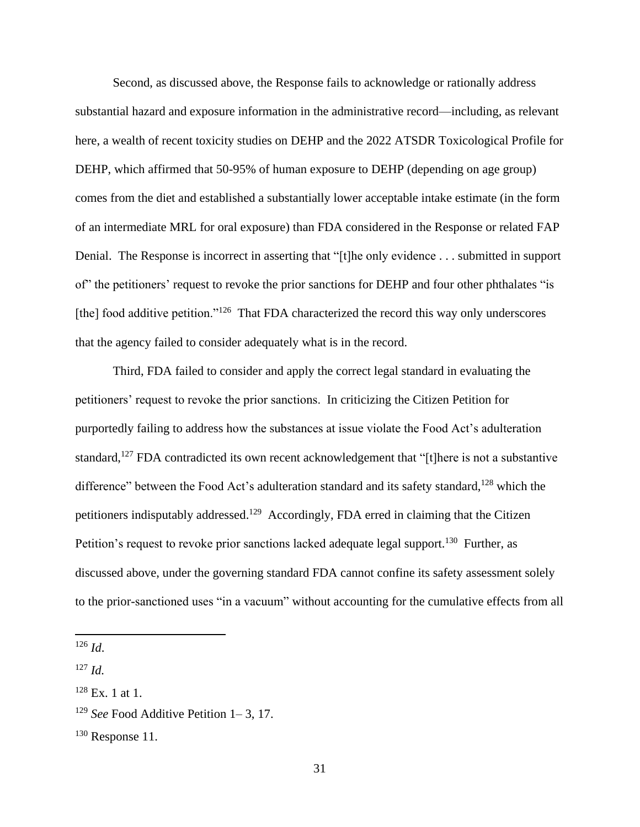Second, as discussed above, the Response fails to acknowledge or rationally address substantial hazard and exposure information in the administrative record—including, as relevant here, a wealth of recent toxicity studies on DEHP and the 2022 ATSDR Toxicological Profile for DEHP, which affirmed that 50-95% of human exposure to DEHP (depending on age group) comes from the diet and established a substantially lower acceptable intake estimate (in the form of an intermediate MRL for oral exposure) than FDA considered in the Response or related FAP Denial. The Response is incorrect in asserting that "[t]he only evidence . . . submitted in support of" the petitioners' request to revoke the prior sanctions for DEHP and four other phthalates "is [the] food additive petition."<sup>126</sup> That FDA characterized the record this way only underscores that the agency failed to consider adequately what is in the record.

Third, FDA failed to consider and apply the correct legal standard in evaluating the petitioners' request to revoke the prior sanctions. In criticizing the Citizen Petition for purportedly failing to address how the substances at issue violate the Food Act's adulteration standard,<sup>127</sup> FDA contradicted its own recent acknowledgement that "[t]here is not a substantive difference" between the Food Act's adulteration standard and its safety standard,<sup>128</sup> which the petitioners indisputably addressed.<sup>129</sup> Accordingly, FDA erred in claiming that the Citizen Petition's request to revoke prior sanctions lacked adequate legal support.<sup>130</sup> Further, as discussed above, under the governing standard FDA cannot confine its safety assessment solely to the prior-sanctioned uses "in a vacuum" without accounting for the cumulative effects from all

<sup>126</sup> *Id*.

<sup>127</sup> *Id.*

 $128$  Ex. 1 at 1.

<sup>129</sup> *See* Food Additive Petition 1– 3, 17.

 $130$  Response 11.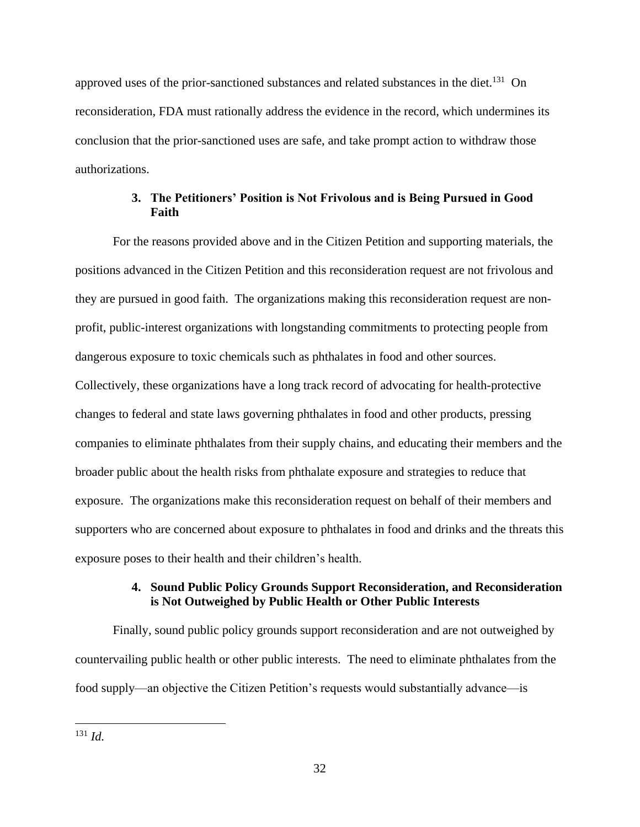approved uses of the prior-sanctioned substances and related substances in the diet.<sup>131</sup> On reconsideration, FDA must rationally address the evidence in the record, which undermines its conclusion that the prior-sanctioned uses are safe, and take prompt action to withdraw those authorizations.

### **3. The Petitioners' Position is Not Frivolous and is Being Pursued in Good Faith**

For the reasons provided above and in the Citizen Petition and supporting materials, the positions advanced in the Citizen Petition and this reconsideration request are not frivolous and they are pursued in good faith. The organizations making this reconsideration request are nonprofit, public-interest organizations with longstanding commitments to protecting people from dangerous exposure to toxic chemicals such as phthalates in food and other sources. Collectively, these organizations have a long track record of advocating for health-protective changes to federal and state laws governing phthalates in food and other products, pressing companies to eliminate phthalates from their supply chains, and educating their members and the broader public about the health risks from phthalate exposure and strategies to reduce that exposure. The organizations make this reconsideration request on behalf of their members and supporters who are concerned about exposure to phthalates in food and drinks and the threats this exposure poses to their health and their children's health.

### **4. Sound Public Policy Grounds Support Reconsideration, and Reconsideration is Not Outweighed by Public Health or Other Public Interests**

Finally, sound public policy grounds support reconsideration and are not outweighed by countervailing public health or other public interests. The need to eliminate phthalates from the food supply—an objective the Citizen Petition's requests would substantially advance—is

<sup>131</sup> *Id.*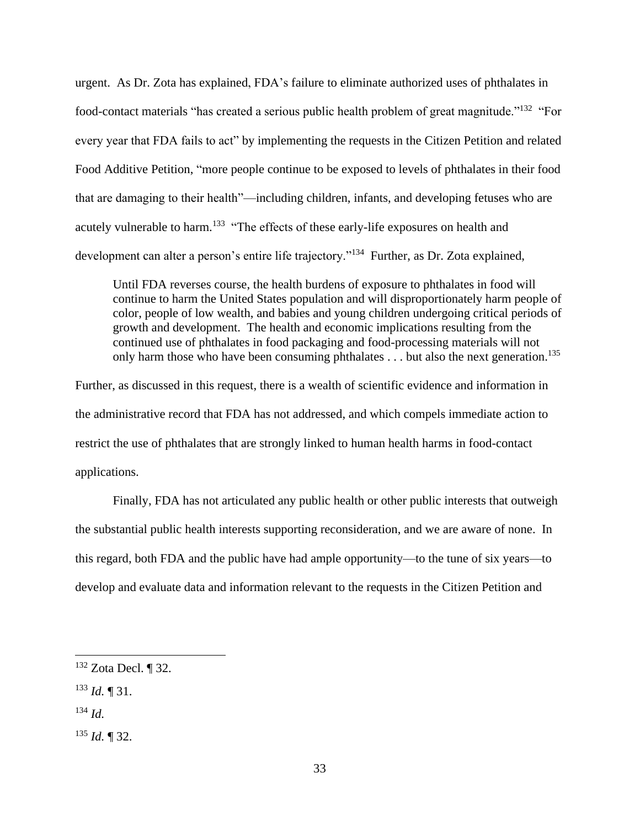urgent. As Dr. Zota has explained, FDA's failure to eliminate authorized uses of phthalates in food-contact materials "has created a serious public health problem of great magnitude."<sup>132</sup> "For every year that FDA fails to act" by implementing the requests in the Citizen Petition and related Food Additive Petition, "more people continue to be exposed to levels of phthalates in their food that are damaging to their health"—including children, infants, and developing fetuses who are acutely vulnerable to harm.<sup>133</sup> "The effects of these early-life exposures on health and development can alter a person's entire life trajectory."<sup>134</sup> Further, as Dr. Zota explained,

Until FDA reverses course, the health burdens of exposure to phthalates in food will continue to harm the United States population and will disproportionately harm people of color, people of low wealth, and babies and young children undergoing critical periods of growth and development. The health and economic implications resulting from the continued use of phthalates in food packaging and food-processing materials will not only harm those who have been consuming phthalates  $\dots$  but also the next generation.<sup>135</sup>

Further, as discussed in this request, there is a wealth of scientific evidence and information in the administrative record that FDA has not addressed, and which compels immediate action to restrict the use of phthalates that are strongly linked to human health harms in food-contact applications.

Finally, FDA has not articulated any public health or other public interests that outweigh the substantial public health interests supporting reconsideration, and we are aware of none. In this regard, both FDA and the public have had ample opportunity—to the tune of six years—to develop and evaluate data and information relevant to the requests in the Citizen Petition and

- <sup>134</sup> *Id.*
- <sup>135</sup> *Id.* ¶ 32.

<sup>132</sup> Zota Decl. ¶ 32.

<sup>133</sup> *Id.* ¶ 31.